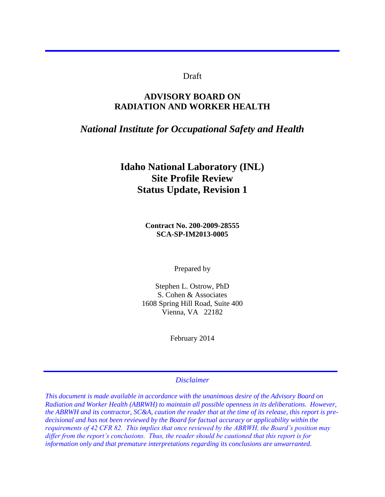## Draft

# **ADVISORY BOARD ON RADIATION AND WORKER HEALTH**

# *National Institute for Occupational Safety and Health*

# **Idaho National Laboratory (INL) Site Profile Review Status Update, Revision 1**

**Contract No. 200-2009-28555 SCA-SP-IM2013-0005** 

Prepared by

Stephen L. Ostrow, PhD S. Cohen & Associates 1608 Spring Hill Road, Suite 400 Vienna, VA 22182

February 2014

*Disclaimer* 

*This document is made available in accordance with the unanimous desire of the Advisory Board on Radiation and Worker Health (ABRWH) to maintain all possible openness in its deliberations. However, the ABRWH and its contractor, SC&A, caution the reader that at the time of its release, this report is predecisional and has not been reviewed by the Board for factual accuracy or applicability within the requirements of 42 CFR 82. This implies that once reviewed by the ABRWH, the Board's position may differ from the report's conclusions. Thus, the reader should be cautioned that this report is for information only and that premature interpretations regarding its conclusions are unwarranted.*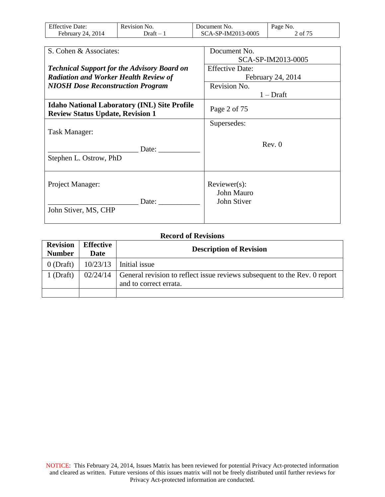| <b>Effective Date:</b> | Revision No. | Document No.       | Page No. |
|------------------------|--------------|--------------------|----------|
| February 24, $2014$    | )raft –      | SCA-SP-IM2013-0005 | 2 of 75  |

| S. Cohen & Associates:                                                                         | Document No.               |
|------------------------------------------------------------------------------------------------|----------------------------|
|                                                                                                | SCA-SP-IM2013-0005         |
| <b>Technical Support for the Advisory Board on</b>                                             | <b>Effective Date:</b>     |
| <b>Radiation and Worker Health Review of</b>                                                   | February 24, 2014          |
| <b>NIOSH Dose Reconstruction Program</b>                                                       | Revision No.               |
|                                                                                                | $1 - Draff$                |
| <b>Idaho National Laboratory (INL) Site Profile</b><br><b>Review Status Update, Revision 1</b> | Page 2 of 75               |
|                                                                                                | Supersedes:                |
| Task Manager:                                                                                  |                            |
| Date: $\qquad \qquad$<br>Stephen L. Ostrow, PhD                                                | Rev. 0                     |
| Project Manager:                                                                               | Reviewer(s):<br>John Mauro |
| Date:<br>John Stiver, MS, CHP                                                                  | John Stiver                |

## **Record of Revisions**

| <b>Revision</b><br><b>Number</b> | Effective<br>Date | <b>Description of Revision</b>                                                                                 |
|----------------------------------|-------------------|----------------------------------------------------------------------------------------------------------------|
| $0$ (Draft)                      |                   | $10/23/13$ Initial issue                                                                                       |
| $1$ (Draft)                      |                   | $02/24/14$ General revision to reflect issue reviews subsequent to the Rev. 0 report<br>and to correct errata. |
|                                  |                   |                                                                                                                |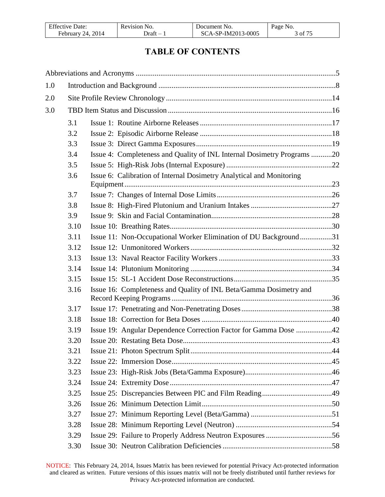| <b>Effective Date:</b> | Revision No. | Document No.       | Page<br>NO.    |
|------------------------|--------------|--------------------|----------------|
| 2014<br>24<br>February | )raft        | SCA-SP-IM2013-0005 | $\int$ of $77$ |

# **TABLE OF CONTENTS**

| 1.0 |      |                                                                         |  |
|-----|------|-------------------------------------------------------------------------|--|
| 2.0 |      |                                                                         |  |
| 3.0 |      |                                                                         |  |
|     | 3.1  |                                                                         |  |
|     | 3.2  |                                                                         |  |
|     | 3.3  |                                                                         |  |
|     | 3.4  | Issue 4: Completeness and Quality of INL Internal Dosimetry Programs 20 |  |
|     | 3.5  |                                                                         |  |
|     | 3.6  | Issue 6: Calibration of Internal Dosimetry Analytical and Monitoring    |  |
|     | 3.7  |                                                                         |  |
|     | 3.8  |                                                                         |  |
|     | 3.9  |                                                                         |  |
|     | 3.10 |                                                                         |  |
|     | 3.11 | Issue 11: Non-Occupational Worker Elimination of DU Background31        |  |
|     | 3.12 |                                                                         |  |
|     | 3.13 |                                                                         |  |
|     | 3.14 |                                                                         |  |
|     | 3.15 |                                                                         |  |
|     | 3.16 | Issue 16: Completeness and Quality of INL Beta/Gamma Dosimetry and      |  |
|     | 3.17 |                                                                         |  |
|     | 3.18 |                                                                         |  |
|     | 3.19 | Issue 19: Angular Dependence Correction Factor for Gamma Dose 42        |  |
|     | 3.20 |                                                                         |  |
|     | 3.21 |                                                                         |  |
|     | 3.22 |                                                                         |  |
|     | 3.23 |                                                                         |  |
|     | 3.24 |                                                                         |  |
|     | 3.25 |                                                                         |  |
|     | 3.26 |                                                                         |  |
|     | 3.27 |                                                                         |  |
|     | 3.28 |                                                                         |  |
|     | 3.29 |                                                                         |  |
|     | 3.30 |                                                                         |  |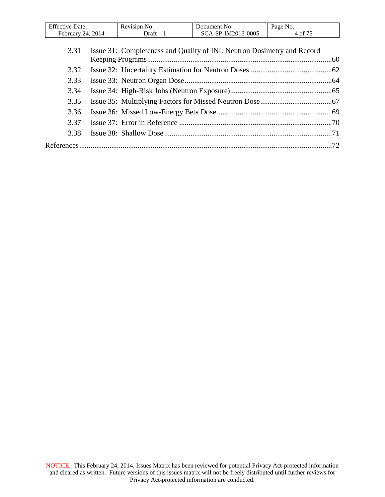| Effective<br>Date:     | Revision No. | Document No.         | Page<br>NO.         |
|------------------------|--------------|----------------------|---------------------|
| 2014<br>14<br>Februarv | raft –       | 3-0005<br>-SP-IM2013 | $\sim$ $ -$<br>- of |

| 3.31 | Issue 31: Completeness and Quality of INL Neutron Dosimetry and Record |  |
|------|------------------------------------------------------------------------|--|
|      |                                                                        |  |
| 3.32 |                                                                        |  |
| 3.33 |                                                                        |  |
| 3.34 |                                                                        |  |
| 3.35 |                                                                        |  |
| 3.36 |                                                                        |  |
| 3.37 |                                                                        |  |
| 3.38 |                                                                        |  |
|      |                                                                        |  |
|      |                                                                        |  |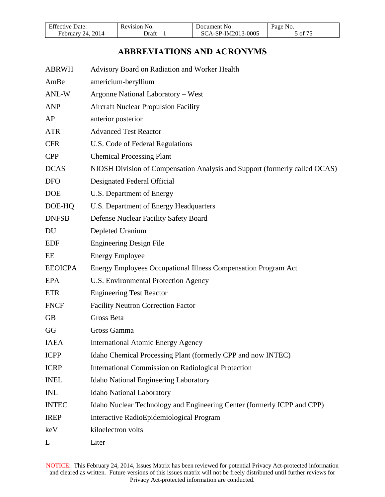| <b>Effective Date:</b> | Revision No. | Document No.       | Page No. |
|------------------------|--------------|--------------------|----------|
| February 24, 2014      | )raft –      | SCA-SP-IM2013-0005 | 5 of 75  |

# **ABBREVIATIONS AND ACRONYMS**

<span id="page-4-0"></span>

| <b>ABRWH</b>   | Advisory Board on Radiation and Worker Health                              |
|----------------|----------------------------------------------------------------------------|
| AmBe           | americium-beryllium                                                        |
| ANL-W          | Argonne National Laboratory - West                                         |
| <b>ANP</b>     | <b>Aircraft Nuclear Propulsion Facility</b>                                |
| AP             | anterior posterior                                                         |
| <b>ATR</b>     | <b>Advanced Test Reactor</b>                                               |
| <b>CFR</b>     | U.S. Code of Federal Regulations                                           |
| <b>CPP</b>     | <b>Chemical Processing Plant</b>                                           |
| <b>DCAS</b>    | NIOSH Division of Compensation Analysis and Support (formerly called OCAS) |
| <b>DFO</b>     | Designated Federal Official                                                |
| <b>DOE</b>     | U.S. Department of Energy                                                  |
| DOE-HQ         | U.S. Department of Energy Headquarters                                     |
| <b>DNFSB</b>   | Defense Nuclear Facility Safety Board                                      |
| DU             | Depleted Uranium                                                           |
| <b>EDF</b>     | <b>Engineering Design File</b>                                             |
| EE             | <b>Energy Employee</b>                                                     |
| <b>EEOICPA</b> | Energy Employees Occupational Illness Compensation Program Act             |
| <b>EPA</b>     | U.S. Environmental Protection Agency                                       |
| <b>ETR</b>     | <b>Engineering Test Reactor</b>                                            |
| <b>FNCF</b>    | <b>Facility Neutron Correction Factor</b>                                  |
| <b>GB</b>      | Gross Beta                                                                 |
| GG             | Gross Gamma                                                                |
| <b>IAEA</b>    | <b>International Atomic Energy Agency</b>                                  |
| <b>ICPP</b>    | Idaho Chemical Processing Plant (formerly CPP and now INTEC)               |
| <b>ICRP</b>    | <b>International Commission on Radiological Protection</b>                 |
| <b>INEL</b>    | Idaho National Engineering Laboratory                                      |
| <b>INL</b>     | <b>Idaho National Laboratory</b>                                           |
| <b>INTEC</b>   | Idaho Nuclear Technology and Engineering Center (formerly ICPP and CPP)    |
| <b>IREP</b>    | Interactive RadioEpidemiological Program                                   |
| keV            | kiloelectron volts                                                         |
| L              | Liter                                                                      |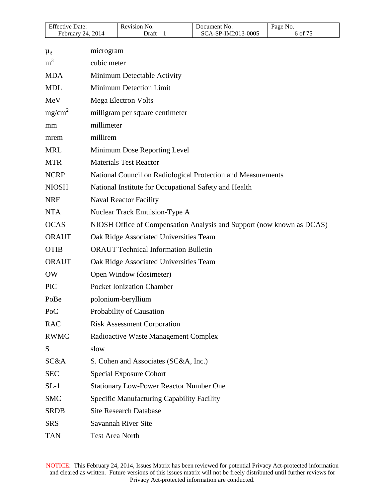| CA-SP-IM2013-0005<br>$\sigma$ of $7^{\circ}$<br>2014<br>)raft<br>∙ebruarv<br>14 | <b>Effective Date:</b> | Revision No. | Document No. | NO.<br>Page |
|---------------------------------------------------------------------------------|------------------------|--------------|--------------|-------------|
|                                                                                 |                        |              |              |             |

| $\mu_{\rm g}$      | microgram                                                             |
|--------------------|-----------------------------------------------------------------------|
| m <sup>3</sup>     | cubic meter                                                           |
| <b>MDA</b>         | Minimum Detectable Activity                                           |
| <b>MDL</b>         | <b>Minimum Detection Limit</b>                                        |
| MeV                | Mega Electron Volts                                                   |
| mg/cm <sup>2</sup> | milligram per square centimeter                                       |
| mm                 | millimeter                                                            |
| mrem               | millirem                                                              |
| <b>MRL</b>         | Minimum Dose Reporting Level                                          |
| <b>MTR</b>         | <b>Materials Test Reactor</b>                                         |
| <b>NCRP</b>        | National Council on Radiological Protection and Measurements          |
| <b>NIOSH</b>       | National Institute for Occupational Safety and Health                 |
| <b>NRF</b>         | <b>Naval Reactor Facility</b>                                         |
| <b>NTA</b>         | Nuclear Track Emulsion-Type A                                         |
| <b>OCAS</b>        | NIOSH Office of Compensation Analysis and Support (now known as DCAS) |
| <b>ORAUT</b>       | Oak Ridge Associated Universities Team                                |
| <b>OTIB</b>        | <b>ORAUT Technical Information Bulletin</b>                           |
| <b>ORAUT</b>       | Oak Ridge Associated Universities Team                                |
| <b>OW</b>          | Open Window (dosimeter)                                               |
| <b>PIC</b>         | <b>Pocket Ionization Chamber</b>                                      |
| PoBe               | polonium-beryllium                                                    |
| PoC                | Probability of Causation                                              |
| <b>RAC</b>         | <b>Risk Assessment Corporation</b>                                    |
| <b>RWMC</b>        | Radioactive Waste Management Complex                                  |
| S                  | slow                                                                  |
| SC&A               | S. Cohen and Associates (SC&A, Inc.)                                  |
| <b>SEC</b>         | <b>Special Exposure Cohort</b>                                        |
| $SL-1$             | <b>Stationary Low-Power Reactor Number One</b>                        |
| <b>SMC</b>         | Specific Manufacturing Capability Facility                            |
| <b>SRDB</b>        | <b>Site Research Database</b>                                         |
| <b>SRS</b>         | Savannah River Site                                                   |
| <b>TAN</b>         | Test Area North                                                       |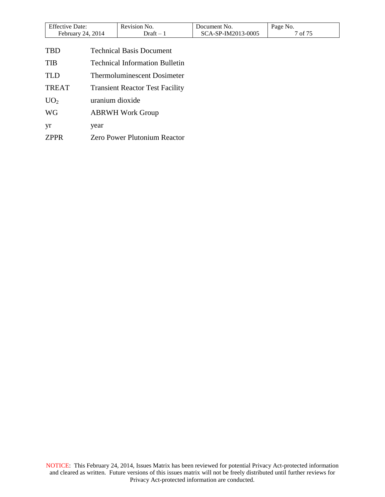| <b>Effective Date:</b> | Revision No. | Document No.       | Page No. |
|------------------------|--------------|--------------------|----------|
| 24, 2014<br>February   | - Jraft      | SCA-SP-IM2013-0005 | of 75    |

| <b>TBD</b>      | <b>Technical Basis Document</b>        |
|-----------------|----------------------------------------|
| <b>TIB</b>      | <b>Technical Information Bulletin</b>  |
| <b>TLD</b>      | <b>Thermoluminescent Dosimeter</b>     |
| <b>TREAT</b>    | <b>Transient Reactor Test Facility</b> |
| UO <sub>2</sub> | uranium dioxide                        |
| <b>WG</b>       | <b>ABRWH Work Group</b>                |
| yr              | year                                   |
| <b>ZPPR</b>     | <b>Zero Power Plutonium Reactor</b>    |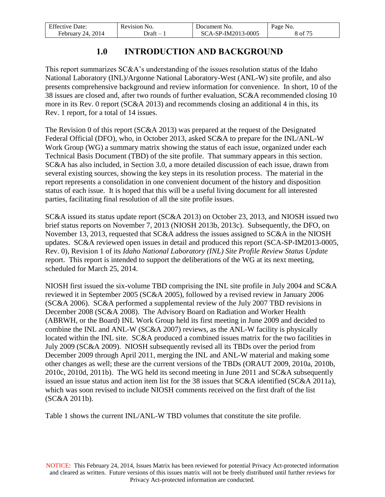| <b>Effective Date:</b> | Revision No. | Document No.       | Page No.       |
|------------------------|--------------|--------------------|----------------|
| February 24, 2014      | - Draft      | SCA-SP-IM2013-0005 | $\delta$ of 75 |

# **1.0 INTRODUCTION AND BACKGROUND**

<span id="page-7-0"></span>This report summarizes SC&A's understanding of the issues resolution status of the Idaho National Laboratory (INL)/Argonne National Laboratory-West (ANL-W) site profile, and also presents comprehensive background and review information for convenience. In short, 10 of the 38 issues are closed and, after two rounds of further evaluation, SC&A recommended closing 10 more in its Rev. 0 report (SC&A 2013) and recommends closing an additional 4 in this, its Rev. 1 report, for a total of 14 issues.

The Revision 0 of this report (SC&A 2013) was prepared at the request of the Designated Federal Official (DFO), who, in October 2013, asked SC&A to prepare for the INL/ANL-W Work Group (WG) a summary matrix showing the status of each issue, organized under each Technical Basis Document (TBD) of the site profile. That summary appears in this section. SC&A has also included, in Section 3.0, a more detailed discussion of each issue, drawn from several existing sources, showing the key steps in its resolution process. The material in the report represents a consolidation in one convenient document of the history and disposition status of each issue. It is hoped that this will be a useful living document for all interested parties, facilitating final resolution of all the site profile issues.

SC&A issued its status update report (SC&A 2013) on October 23, 2013, and NIOSH issued two brief status reports on November 7, 2013 (NIOSH 2013b, 2013c). Subsequently, the DFO, on November 13, 2013, requested that SC&A address the issues assigned to SC&A in the NIOSH updates. SC&A reviewed open issues in detail and produced this report (SCA-SP-IM2013-0005, Rev. 0), Revision 1 of its *Idaho National Laboratory (INL) Site Profile Review Status Update* report. This report is intended to support the deliberations of the WG at its next meeting, scheduled for March 25, 2014.

NIOSH first issued the six-volume TBD comprising the INL site profile in July 2004 and SC&A reviewed it in September 2005 (SC&A 2005), followed by a revised review in January 2006 (SC&A 2006). SC&A performed a supplemental review of the July 2007 TBD revisions in December 2008 (SC&A 2008). The Advisory Board on Radiation and Worker Health (ABRWH, or the Board) INL Work Group held its first meeting in June 2009 and decided to combine the INL and ANL-W (SC&A 2007) reviews, as the ANL-W facility is physically located within the INL site. SC&A produced a combined issues matrix for the two facilities in July 2009 (SC&A 2009). NIOSH subsequently revised all its TBDs over the period from December 2009 through April 2011, merging the INL and ANL-W material and making some other changes as well; these are the current versions of the TBDs (ORAUT 2009, 2010a, 2010b, 2010c, 2010d, 2011b). The WG held its second meeting in June 2011 and SC&A subsequently issued an issue status and action item list for the 38 issues that SC&A identified (SC&A 2011a), which was soon revised to include NIOSH comments received on the first draft of the list (SC&A 2011b).

Table 1 shows the current INL/ANL-W TBD volumes that constitute the site profile.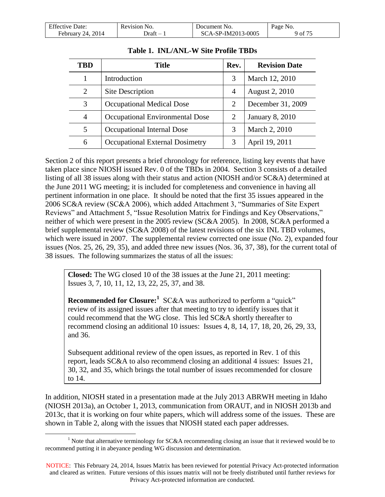| <b>Effective Date:</b> | Revision No. | Document No.       | Page No. |
|------------------------|--------------|--------------------|----------|
| February 24, 2014      | - Draft      | SCA-SP-IM2013-0005 | 901/7    |

| TBD            | <b>Title</b>                    | Rev.           | <b>Revision Date</b>   |
|----------------|---------------------------------|----------------|------------------------|
|                | Introduction                    | 3              | March 12, 2010         |
| 2              | Site Description                | $\overline{4}$ | August 2, 2010         |
| 3              | Occupational Medical Dose       | 2              | December 31, 2009      |
| $\overline{4}$ | Occupational Environmental Dose | 2              | <b>January 8, 2010</b> |
| 5              | Occupational Internal Dose      | 3              | March 2, 2010          |
| 6              | Occupational External Dosimetry | 3              | April 19, 2011         |

### **Table 1. INL/ANL-W Site Profile TBDs**

Section 2 of this report presents a brief chronology for reference, listing key events that have taken place since NIOSH issued Rev. 0 of the TBDs in 2004. Section 3 consists of a detailed listing of all 38 issues along with their status and action (NIOSH and/or SC&A) determined at the June 2011 WG meeting; it is included for completeness and convenience in having all pertinent information in one place. It should be noted that the first 35 issues appeared in the 2006 SC&A review (SC&A 2006), which added Attachment 3, "Summaries of Site Expert Reviews" and Attachment 5, "Issue Resolution Matrix for Findings and Key Observations," neither of which were present in the 2005 review (SC&A 2005). In 2008, SC&A performed a brief supplemental review (SC&A 2008) of the latest revisions of the six INL TBD volumes, which were issued in 2007. The supplemental review corrected one issue (No. 2), expanded four issues (Nos. 25, 26, 29, 35), and added three new issues (Nos. 36, 37, 38), for the current total of 38 issues. The following summarizes the status of all the issues:

**Closed:** The WG closed 10 of the 38 issues at the June 21, 2011 meeting: Issues 3, 7, 10, 11, 12, 13, 22, 25, 37, and 38.

**Recommended for Closure:**<sup>1</sup> SC&A was authorized to perform a "quick" review of its assigned issues after that meeting to try to identify issues that it could recommend that the WG close. This led SC&A shortly thereafter to recommend closing an additional 10 issues: Issues 4, 8, 14, 17, 18, 20, 26, 29, 33, and 36.

Subsequent additional review of the open issues, as reported in Rev. 1 of this report, leads SC&A to also recommend closing an additional 4 issues: Issues 21, 30, 32, and 35, which brings the total number of issues recommended for closure to 14.

In addition, NIOSH stated in a presentation made at the July 2013 ABRWH meeting in Idaho (NIOSH 2013a), an October 1, 2013, communication from ORAUT, and in NIOSH 2013b and 2013c, that it is working on four white papers, which will address some of the issues. These are shown in Table 2, along with the issues that NIOSH stated each paper addresses.

 $\overline{a}$ 

<sup>&</sup>lt;sup>1</sup> Note that alternative terminology for SC&A recommending closing an issue that it reviewed would be to recommend putting it in abeyance pending WG discussion and determination.

NOTICE: This February 24, 2014, Issues Matrix has been reviewed for potential Privacy Act-protected information and cleared as written. Future versions of this issues matrix will not be freely distributed until further reviews for Privacy Act-protected information are conducted.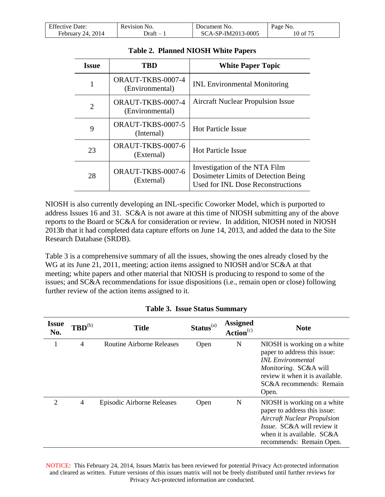| <b>Effective Date:</b> | Revision No. | Document No.       | Page No. |
|------------------------|--------------|--------------------|----------|
| February 24, 2014      | - Draft      | SCA-SP-IM2013-0005 | 10 of 75 |

| <b>Issue</b>                | TRD                                  | <b>White Paper Topic</b>                                                                                  |
|-----------------------------|--------------------------------------|-----------------------------------------------------------------------------------------------------------|
|                             | ORAUT-TKBS-0007-4<br>(Environmental) | <b>INL Environmental Monitoring</b>                                                                       |
| $\mathcal{D}_{\mathcal{L}}$ | ORAUT-TKBS-0007-4<br>(Environmental) | <b>Aircraft Nuclear Propulsion Issue</b>                                                                  |
| 9                           | ORAUT-TKBS-0007-5<br>(Internal)      | <b>Hot Particle Issue</b>                                                                                 |
| 23                          | ORAUT-TKBS-0007-6<br>(External)      | <b>Hot Particle Issue</b>                                                                                 |
| 28                          | ORAUT-TKBS-0007-6<br>(External)      | Investigation of the NTA Film<br>Dosimeter Limits of Detection Being<br>Used for INL Dose Reconstructions |

#### **Table 2. Planned NIOSH White Papers**

NIOSH is also currently developing an INL-specific Coworker Model, which is purported to address Issues 16 and 31. SC&A is not aware at this time of NIOSH submitting any of the above reports to the Board or SC&A for consideration or review. In addition, NIOSH noted in NIOSH 2013b that it had completed data capture efforts on June 14, 2013, and added the data to the Site Research Database (SRDB).

Table 3 is a comprehensive summary of all the issues, showing the ones already closed by the WG at its June 21, 2011, meeting; action items assigned to NIOSH and/or SC&A at that meeting; white papers and other material that NIOSH is producing to respond to some of the issues; and SC&A recommendations for issue dispositions (i.e., remain open or close) following further review of the action items assigned to it.

| <i><b>Issue</b></i><br>No. | $\mathbf{TBD}^{(b)}$     | <b>Title</b>                     | $Status(a)$ | <b>Assigned</b><br>Action <sup>(c)</sup> | <b>Note</b>                                                                                                                                                                                      |
|----------------------------|--------------------------|----------------------------------|-------------|------------------------------------------|--------------------------------------------------------------------------------------------------------------------------------------------------------------------------------------------------|
|                            | 4                        | <b>Routine Airborne Releases</b> | Open        | N                                        | NIOSH is working on a white<br>paper to address this issue:<br><b>INL</b> Environmental<br>Monitoring. SC&A will<br>review it when it is available.<br>SC&A recommends: Remain<br>Open.          |
| $\overline{2}$             | $\overline{\mathcal{A}}$ | Episodic Airborne Releases       | Open        | N                                        | NIOSH is working on a white<br>paper to address this issue:<br><b>Aircraft Nuclear Propulsion</b><br><i>Issue.</i> SC&A will review it<br>when it is available. SC&A<br>recommends: Remain Open. |

### **Table 3. Issue Status Summary**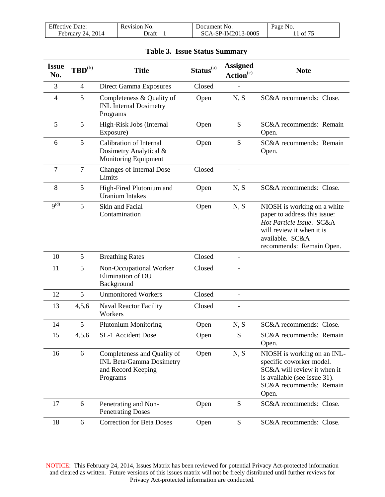| <b>Effective Date:</b> | Revision No. | Document No.       | Page No.    |
|------------------------|--------------|--------------------|-------------|
| February 24, 2014      | ⊃raft –      | SCA-SP-IM2013-0005 | $1$ of $75$ |

|  |  |  | <b>Table 3. Issue Status Summary</b> |
|--|--|--|--------------------------------------|
|--|--|--|--------------------------------------|

| <b>Issue</b><br>No.  | $\mathbf{TBD}^{(b)}$ | <b>Title</b>                                                                                     | Status <sup>(a)</sup> | <b>Assigned</b><br>Action <sup>(c)</sup> | <b>Note</b>                                                                                                                                                         |
|----------------------|----------------------|--------------------------------------------------------------------------------------------------|-----------------------|------------------------------------------|---------------------------------------------------------------------------------------------------------------------------------------------------------------------|
| 3                    | $\overline{4}$       | Direct Gamma Exposures                                                                           | Closed                |                                          |                                                                                                                                                                     |
| $\overline{4}$       | 5                    | Completeness & Quality of<br><b>INL</b> Internal Dosimetry<br>Programs                           | Open                  | N, S                                     | SC&A recommends: Close.                                                                                                                                             |
| 5                    | 5                    | High-Risk Jobs (Internal<br>Exposure)                                                            | Open                  | S                                        | SC&A recommends: Remain<br>Open.                                                                                                                                    |
| 6                    | 5                    | <b>Calibration of Internal</b><br>Dosimetry Analytical &<br>Monitoring Equipment                 | Open                  | S                                        | SC&A recommends: Remain<br>Open.                                                                                                                                    |
| $\overline{7}$       | $\overline{7}$       | <b>Changes of Internal Dose</b><br>Limits                                                        | Closed                |                                          |                                                                                                                                                                     |
| 8                    | 5                    | High-Fired Plutonium and<br><b>Uranium Intakes</b>                                               | Open                  | N, S                                     | SC&A recommends: Close.                                                                                                                                             |
| $9^{(\overline{d})}$ | 5                    | Skin and Facial<br>Contamination                                                                 | Open                  | N, S                                     | NIOSH is working on a white<br>paper to address this issue:<br>Hot Particle Issue. SC&A<br>will review it when it is<br>available. SC&A<br>recommends: Remain Open. |
| 10                   | 5                    | <b>Breathing Rates</b>                                                                           | Closed                |                                          |                                                                                                                                                                     |
| 11                   | 5                    | Non-Occupational Worker<br>Elimination of DU<br>Background                                       | Closed                |                                          |                                                                                                                                                                     |
| 12                   | 5                    | <b>Unmonitored Workers</b>                                                                       | Closed                | $\overline{\phantom{a}}$                 |                                                                                                                                                                     |
| 13                   | 4,5,6                | <b>Naval Reactor Facility</b><br>Workers                                                         | Closed                |                                          |                                                                                                                                                                     |
| 14                   | 5                    | <b>Plutonium Monitoring</b>                                                                      | Open                  | N, S                                     | SC&A recommends: Close.                                                                                                                                             |
| 15                   | 4,5,6                | SL-1 Accident Dose                                                                               | Open                  | S                                        | SC&A recommends: Remain<br>Open.                                                                                                                                    |
| 16                   | 6                    | Completeness and Quality of<br><b>INL Beta/Gamma Dosimetry</b><br>and Record Keeping<br>Programs | Open                  | N, S                                     | NIOSH is working on an INL-<br>specific coworker model.<br>SC&A will review it when it<br>is available (see Issue 31).<br>SC&A recommends: Remain<br>Open.          |
| 17                   | 6                    | Penetrating and Non-<br><b>Penetrating Doses</b>                                                 | Open                  | S                                        | SC&A recommends: Close.                                                                                                                                             |
| 18                   | 6                    | <b>Correction for Beta Doses</b>                                                                 | Open                  | S                                        | SC&A recommends: Close.                                                                                                                                             |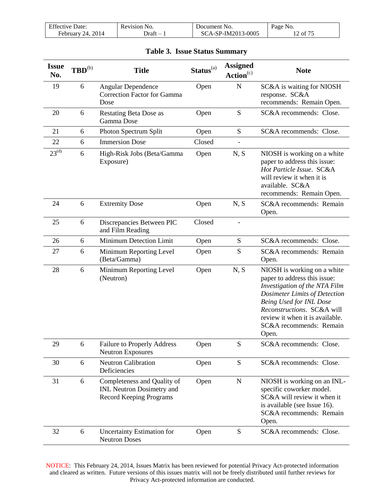| <b>Effective Date:</b> | Revision No. | Document No.       | Page No. |
|------------------------|--------------|--------------------|----------|
| February 24, 2014      | - Draft      | SCA-SP-IM2013-0005 | 12 of 75 |

| <b>Issue</b><br>No. | $\mathbf{TBD}^{(b)}$ | <b>Title</b>                                                                                      | Status <sup>(a)</sup> | <b>Assigned</b><br>Action <sup>(c)</sup> | <b>Note</b>                                                                                                                                                                                                                                                   |
|---------------------|----------------------|---------------------------------------------------------------------------------------------------|-----------------------|------------------------------------------|---------------------------------------------------------------------------------------------------------------------------------------------------------------------------------------------------------------------------------------------------------------|
| 19                  | 6                    | <b>Angular Dependence</b><br><b>Correction Factor for Gamma</b><br>Dose                           | Open                  | $\mathbf N$                              | SC&A is waiting for NIOSH<br>response. SC&A<br>recommends: Remain Open.                                                                                                                                                                                       |
| 20                  | 6                    | <b>Restating Beta Dose as</b><br>Gamma Dose                                                       | Open                  | ${\bf S}$                                | SC&A recommends: Close.                                                                                                                                                                                                                                       |
| 21                  | 6                    | Photon Spectrum Split                                                                             | Open                  | ${\bf S}$                                | SC&A recommends: Close.                                                                                                                                                                                                                                       |
| 22                  | 6                    | <b>Immersion Dose</b>                                                                             | Closed                |                                          |                                                                                                                                                                                                                                                               |
| $23^{(d)}$          | 6                    | High-Risk Jobs (Beta/Gamma<br>Exposure)                                                           | Open                  | N, S                                     | NIOSH is working on a white<br>paper to address this issue:<br>Hot Particle Issue. SC&A<br>will review it when it is<br>available. SC&A<br>recommends: Remain Open.                                                                                           |
| 24                  | 6                    | <b>Extremity Dose</b>                                                                             | Open                  | N, S                                     | SC&A recommends: Remain<br>Open.                                                                                                                                                                                                                              |
| 25                  | 6                    | Discrepancies Between PIC<br>and Film Reading                                                     | Closed                |                                          |                                                                                                                                                                                                                                                               |
| 26                  | 6                    | Minimum Detection Limit                                                                           | Open                  | ${\bf S}$                                | SC&A recommends: Close.                                                                                                                                                                                                                                       |
| 27                  | 6                    | Minimum Reporting Level<br>(Beta/Gamma)                                                           | Open                  | S                                        | SC&A recommends: Remain<br>Open.                                                                                                                                                                                                                              |
| 28                  | 6                    | Minimum Reporting Level<br>(Neutron)                                                              | Open                  | N, S                                     | NIOSH is working on a white<br>paper to address this issue:<br>Investigation of the NTA Film<br>Dosimeter Limits of Detection<br>Being Used for INL Dose<br>Reconstructions. SC&A will<br>review it when it is available.<br>SC&A recommends: Remain<br>Open. |
| 29                  | 6                    | <b>Failure to Properly Address</b><br><b>Neutron Exposures</b>                                    | Open                  | ${\bf S}$                                | SC&A recommends: Close.                                                                                                                                                                                                                                       |
| 30                  | 6                    | <b>Neutron Calibration</b><br>Deficiencies                                                        | Open                  | ${\bf S}$                                | SC&A recommends: Close.                                                                                                                                                                                                                                       |
| 31                  | 6                    | Completeness and Quality of<br><b>INL Neutron Dosimetry and</b><br><b>Record Keeping Programs</b> | Open                  | $\mathbf N$                              | NIOSH is working on an INL-<br>specific coworker model.<br>SC&A will review it when it<br>is available (see Issue 16).<br>SC&A recommends: Remain<br>Open.                                                                                                    |
| 32                  | 6                    | <b>Uncertainty Estimation for</b><br><b>Neutron Doses</b>                                         | Open                  | ${\bf S}$                                | SC&A recommends: Close.                                                                                                                                                                                                                                       |

### **Table 3. Issue Status Summary**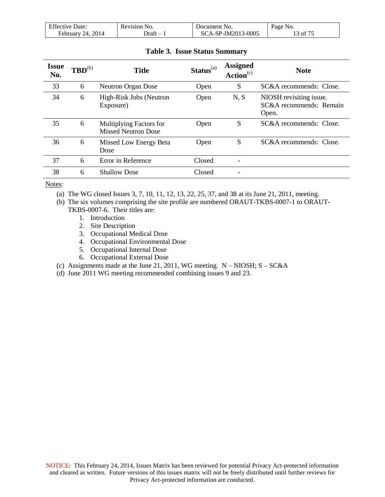| <b>Effective Date:</b> | Revision No. | Document No.       | Page No. |
|------------------------|--------------|--------------------|----------|
| February 24, $2014$    | - Draft      | SCA-SP-IM2013-0005 | 3 of 75  |

| <b>Issue</b><br>No. | $\mathbf{TBD}^{(b)}$ | <b>Title</b>                                          | $Status(a)$ | <b>Assigned</b><br>Action <sup>(c)</sup> | <b>Note</b>                                                 |
|---------------------|----------------------|-------------------------------------------------------|-------------|------------------------------------------|-------------------------------------------------------------|
| 33                  | 6                    | <b>Neutron Organ Dose</b>                             | Open        | S                                        | SC&A recommends: Close.                                     |
| 34                  | 6                    | High-Risk Jobs (Neutron<br>Exposure)                  | Open        | N, S                                     | NIOSH revisiting issue.<br>SC&A recommends: Remain<br>Open. |
| 35                  | 6                    | Multiplying Factors for<br><b>Missed Neutron Dose</b> | Open        | S                                        | SC&A recommends: Close.                                     |
| 36                  | 6                    | Missed Low Energy Beta<br>Dose                        | Open        | S                                        | SC&A recommends: Close.                                     |
| 37                  | 6                    | Error in Reference                                    | Closed      |                                          |                                                             |
| 38                  | 6                    | <b>Shallow Dose</b>                                   | Closed      |                                          |                                                             |

Notes:

(a) The WG closed Issues 3, 7, 10, 11, 12, 13, 22, 25, 37, and 38 at its June 21, 2011, meeting.

(b) The six volumes comprising the site profile are numbered ORAUT-TKBS-0007-1 to ORAUT-

- TKBS-0007-6. Their titles are:
	- 1. Introduction
	- 2. Site Description
	- 3. Occupational Medical Dose
	- 4. Occupational Environmental Dose
	- 5. Occupational Internal Dose
	- 6. Occupational External Dose
- (c) Assignments made at the June 21, 2011, WG meeting.  $N NIOSH$ ;  $S SC&A$
- (d) June 2011 WG meeting recommended combining issues 9 and 23.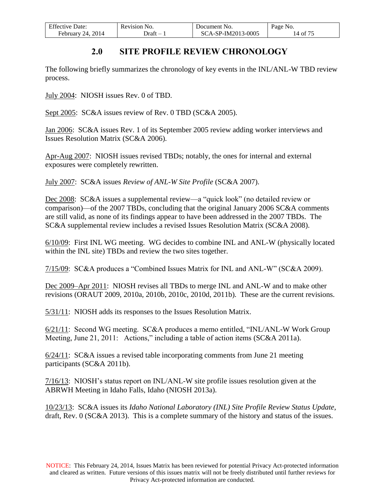| <b>Effective Date:</b> | Revision No. | Document No.       | Page No. |
|------------------------|--------------|--------------------|----------|
| . 2014<br>February 24, | - Draft      | SCA-SP-IM2013-0005 | 14 of 75 |

# **2.0 SITE PROFILE REVIEW CHRONOLOGY**

<span id="page-13-0"></span>The following briefly summarizes the chronology of key events in the INL/ANL-W TBD review process.

July 2004: NIOSH issues Rev. 0 of TBD.

Sept 2005: SC&A issues review of Rev. 0 TBD (SC&A 2005).

Jan 2006: SC&A issues Rev. 1 of its September 2005 review adding worker interviews and Issues Resolution Matrix (SC&A 2006).

Apr-Aug 2007: NIOSH issues revised TBDs; notably, the ones for internal and external exposures were completely rewritten.

July 2007: SC&A issues *Review of ANL-W Site Profile* (SC&A 2007).

Dec 2008: SC&A issues a supplemental review—a "quick look" (no detailed review or comparison)—of the 2007 TBDs, concluding that the original January 2006 SC&A comments are still valid, as none of its findings appear to have been addressed in the 2007 TBDs. The SC&A supplemental review includes a revised Issues Resolution Matrix (SC&A 2008).

6/10/09: First INL WG meeting. WG decides to combine INL and ANL-W (physically located within the INL site) TBDs and review the two sites together.

7/15/09: SC&A produces a "Combined Issues Matrix for INL and ANL-W" (SC&A 2009).

Dec 2009–Apr 2011: NIOSH revises all TBDs to merge INL and ANL-W and to make other revisions (ORAUT 2009, 2010a, 2010b, 2010c, 2010d, 2011b). These are the current revisions.

5/31/11: NIOSH adds its responses to the Issues Resolution Matrix.

6/21/11: Second WG meeting. SC&A produces a memo entitled, "INL/ANL-W Work Group Meeting, June 21, 2011: Actions," including a table of action items (SC&A 2011a).

6/24/11: SC&A issues a revised table incorporating comments from June 21 meeting participants (SC&A 2011b).

7/16/13: NIOSH's status report on INL/ANL-W site profile issues resolution given at the ABRWH Meeting in Idaho Falls, Idaho (NIOSH 2013a).

10/23/13: SC&A issues its *Idaho National Laboratory (INL) Site Profile Review Status Update*, draft, Rev. 0 (SC&A 2013). This is a complete summary of the history and status of the issues.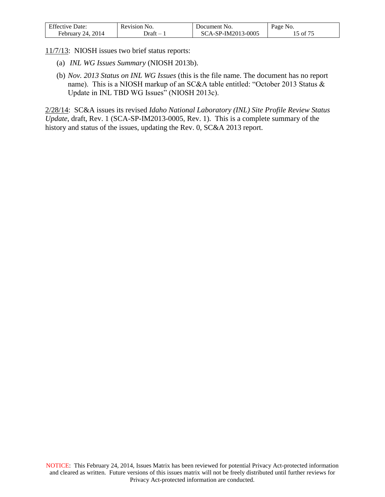| <b>Effective Date:</b>  | Revision No. | Document No.       | Page No. |
|-------------------------|--------------|--------------------|----------|
| 2014<br>24.<br>February | Jraft        | SCA-SP-IM2013-0005 | of       |

11/7/13: NIOSH issues two brief status reports:

- (a) *INL WG Issues Summary* (NIOSH 2013b).
- (b) *Nov. 2013 Status on INL WG Issues* (this is the file name. The document has no report name). This is a NIOSH markup of an SC&A table entitled: "October 2013 Status & Update in INL TBD WG Issues" (NIOSH 2013c).

2/28/14: SC&A issues its revised *Idaho National Laboratory (INL) Site Profile Review Status Update*, draft, Rev. 1 (SCA-SP-IM2013-0005, Rev. 1). This is a complete summary of the history and status of the issues, updating the Rev. 0, SC&A 2013 report.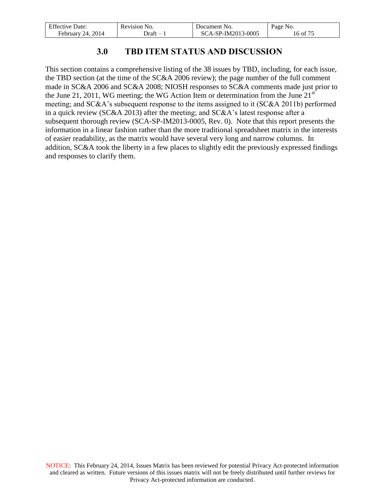| <b>Effective Date:</b> | Revision No. | Document No.       | Page No. |
|------------------------|--------------|--------------------|----------|
| February 24, 2014      | - Draft      | SCA-SP-IM2013-0005 | 16 of 75 |

# **3.0 TBD ITEM STATUS AND DISCUSSION**

<span id="page-15-0"></span>This section contains a comprehensive listing of the 38 issues by TBD, including, for each issue, the TBD section (at the time of the SC&A 2006 review); the page number of the full comment made in SC&A 2006 and SC&A 2008; NIOSH responses to SC&A comments made just prior to the June 21, 2011, WG meeting; the WG Action Item or determination from the June  $21<sup>st</sup>$ meeting; and SC&A's subsequent response to the items assigned to it (SC&A 2011b) performed in a quick review (SC&A 2013) after the meeting; and SC&A's latest response after a subsequent thorough review (SCA-SP-IM2013-0005, Rev. 0). Note that this report presents the information in a linear fashion rather than the more traditional spreadsheet matrix in the interests of easier readability, as the matrix would have several very long and narrow columns. In addition, SC&A took the liberty in a few places to slightly edit the previously expressed findings and responses to clarify them.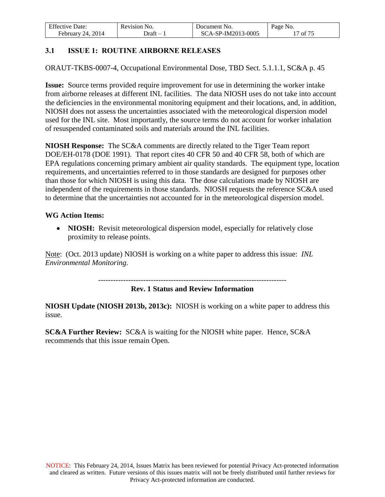| <b>Effective Date:</b> | Revision No. | Document No.       | Page No. |
|------------------------|--------------|--------------------|----------|
| February 24, 2014      | Jraft        | SCA-SP-IM2013-0005 | of 75    |

## <span id="page-16-0"></span>**3.1 ISSUE 1: ROUTINE AIRBORNE RELEASES**

ORAUT-TKBS-0007-4, Occupational Environmental Dose, TBD Sect. 5.1.1.1, SC&A p. 45

**Issue:** Source terms provided require improvement for use in determining the worker intake from airborne releases at different INL facilities. The data NIOSH uses do not take into account the deficiencies in the environmental monitoring equipment and their locations, and, in addition, NIOSH does not assess the uncertainties associated with the meteorological dispersion model used for the INL site. Most importantly, the source terms do not account for worker inhalation of resuspended contaminated soils and materials around the INL facilities.

**NIOSH Response:** The SC&A comments are directly related to the Tiger Team report DOE/EH-0178 (DOE 1991). That report cites 40 CFR 50 and 40 CFR 58, both of which are EPA regulations concerning primary ambient air quality standards. The equipment type, location requirements, and uncertainties referred to in those standards are designed for purposes other than those for which NIOSH is using this data. The dose calculations made by NIOSH are independent of the requirements in those standards. NIOSH requests the reference SC&A used to determine that the uncertainties not accounted for in the meteorological dispersion model.

### **WG Action Items:**

• **NIOSH:** Revisit meteorological dispersion model, especially for relatively close proximity to release points.

Note: (Oct. 2013 update) NIOSH is working on a white paper to address this issue: *INL Environmental Monitoring.* 

---------------------------------------------------------------------------

**Rev. 1 Status and Review Information** 

**NIOSH Update (NIOSH 2013b, 2013c):** NIOSH is working on a white paper to address this issue.

**SC&A Further Review:** SC&A is waiting for the NIOSH white paper. Hence, SC&A recommends that this issue remain Open.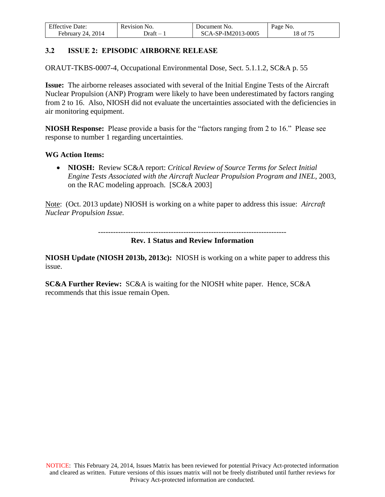| <b>Effective Date:</b> | Revision No. | Document No.       | Page No. |
|------------------------|--------------|--------------------|----------|
| February 24, 2014      | Draft –      | SCA-SP-IM2013-0005 | 18 of 75 |

### <span id="page-17-0"></span>**3.2 ISSUE 2: EPISODIC AIRBORNE RELEASE**

ORAUT-TKBS-0007-4, Occupational Environmental Dose, Sect. 5.1.1.2, SC&A p. 55

**Issue:** The airborne releases associated with several of the Initial Engine Tests of the Aircraft Nuclear Propulsion (ANP) Program were likely to have been underestimated by factors ranging from 2 to 16. Also, NIOSH did not evaluate the uncertainties associated with the deficiencies in air monitoring equipment.

**NIOSH Response:** Please provide a basis for the "factors ranging from 2 to 16." Please see response to number 1 regarding uncertainties.

#### **WG Action Items:**

 **NIOSH:** Review SC&A report: *Critical Review of Source Terms for Select Initial Engine Tests Associated with the Aircraft Nuclear Propulsion Program and INEL*, 2003, on the RAC modeling approach. [SC&A 2003]

Note: (Oct. 2013 update) NIOSH is working on a white paper to address this issue: *Aircraft Nuclear Propulsion Issue.* 

---------------------------------------------------------------------------

#### **Rev. 1 Status and Review Information**

**NIOSH Update (NIOSH 2013b, 2013c):** NIOSH is working on a white paper to address this issue.

**SC&A Further Review:** SC&A is waiting for the NIOSH white paper. Hence, SC&A recommends that this issue remain Open.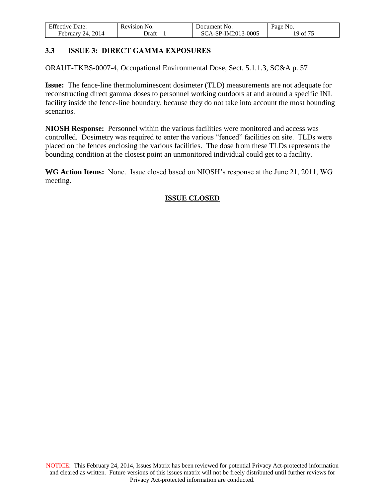| <b>Effective Date:</b>  | Revision No. | Document No.       | Page No. |
|-------------------------|--------------|--------------------|----------|
| 2014<br>February<br>24. | ⊅ratt        | SCA-SP-IM2013-0005 | 19 of 75 |

# <span id="page-18-0"></span>**3.3 ISSUE 3: DIRECT GAMMA EXPOSURES**

ORAUT-TKBS-0007-4, Occupational Environmental Dose, Sect. 5.1.1.3, SC&A p. 57

**Issue:** The fence-line thermoluminescent dosimeter (TLD) measurements are not adequate for reconstructing direct gamma doses to personnel working outdoors at and around a specific INL facility inside the fence-line boundary, because they do not take into account the most bounding scenarios.

**NIOSH Response:** Personnel within the various facilities were monitored and access was controlled. Dosimetry was required to enter the various "fenced" facilities on site. TLDs were placed on the fences enclosing the various facilities. The dose from these TLDs represents the bounding condition at the closest point an unmonitored individual could get to a facility.

**WG Action Items:** None. Issue closed based on NIOSH's response at the June 21, 2011, WG meeting.

### **ISSUE CLOSED**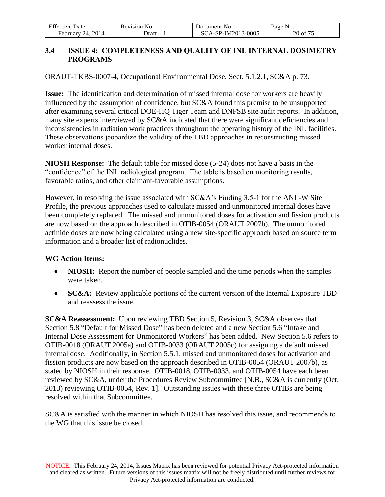| <b>Effective Date:</b> | Revision No. | Document No.       | Page No. |
|------------------------|--------------|--------------------|----------|
| 24, 2014<br>February   | Draft        | SCA-SP-IM2013-0005 | 20 of 75 |

## <span id="page-19-0"></span>**3.4 ISSUE 4: COMPLETENESS AND QUALITY OF INL INTERNAL DOSIMETRY PROGRAMS**

ORAUT-TKBS-0007-4, Occupational Environmental Dose, Sect. 5.1.2.1, SC&A p. 73.

**Issue:** The identification and determination of missed internal dose for workers are heavily influenced by the assumption of confidence, but SC&A found this premise to be unsupported after examining several critical DOE-HQ Tiger Team and DNFSB site audit reports. In addition, many site experts interviewed by SC&A indicated that there were significant deficiencies and inconsistencies in radiation work practices throughout the operating history of the INL facilities. These observations jeopardize the validity of the TBD approaches in reconstructing missed worker internal doses.

**NIOSH Response:** The default table for missed dose (5-24) does not have a basis in the "confidence" of the INL radiological program. The table is based on monitoring results, favorable ratios, and other claimant-favorable assumptions.

However, in resolving the issue associated with SC&A's Finding 3.5-1 for the ANL-W Site Profile, the previous approaches used to calculate missed and unmonitored internal doses have been completely replaced. The missed and unmonitored doses for activation and fission products are now based on the approach described in OTIB-0054 (ORAUT 2007b). The unmonitored actinide doses are now being calculated using a new site-specific approach based on source term information and a broader list of radionuclides.

### **WG Action Items:**

- **NIOSH:** Report the number of people sampled and the time periods when the samples were taken.
- **SC&A:** Review applicable portions of the current version of the Internal Exposure TBD and reassess the issue.

**SC&A Reassessment:** Upon reviewing TBD Section 5, Revision 3, SC&A observes that Section 5.8 "Default for Missed Dose" has been deleted and a new Section 5.6 "Intake and Internal Dose Assessment for Unmonitored Workers" has been added. New Section 5.6 refers to OTIB-0018 (ORAUT 2005a) and OTIB-0033 (ORAUT 2005c) for assigning a default missed internal dose. Additionally, in Section 5.5.1, missed and unmonitored doses for activation and fission products are now based on the approach described in OTIB-0054 (ORAUT 2007b), as stated by NIOSH in their response. OTIB-0018, OTIB-0033, and OTIB-0054 have each been reviewed by SC&A, under the Procedures Review Subcommittee [N.B., SC&A is currently (Oct. 2013) reviewing OTIB-0054, Rev. 1]. Outstanding issues with these three OTIBs are being resolved within that Subcommittee.

SC&A is satisfied with the manner in which NIOSH has resolved this issue, and recommends to the WG that this issue be closed.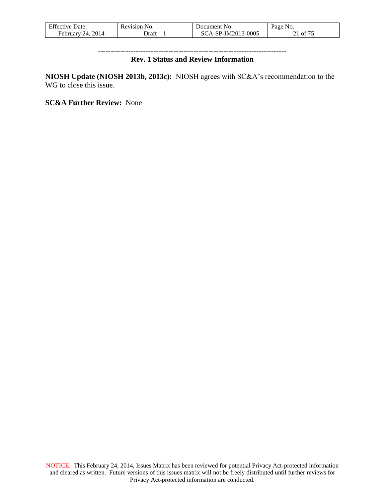| <b>Effective Date:</b> | Revision No. | Document No.       | Page No. |
|------------------------|--------------|--------------------|----------|
| 24, 2014<br>February.  | Jraft        | SCA-SP-IM2013-0005 | 21 of 75 |

### --------------------------------------------------------------------------- **Rev. 1 Status and Review Information**

**NIOSH Update (NIOSH 2013b, 2013c):** NIOSH agrees with SC&A's recommendation to the WG to close this issue.

**SC&A Further Review:** None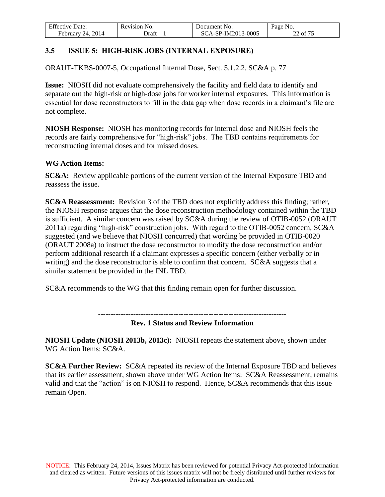| <b>Effective Date:</b>  | Revision No. | Document No.       | Page No. |
|-------------------------|--------------|--------------------|----------|
| 2014<br>Februarv<br>24. | - )raft      | SCA-SP-IM2013-0005 | 22 of 75 |

# <span id="page-21-0"></span>**3.5 ISSUE 5: HIGH-RISK JOBS (INTERNAL EXPOSURE)**

ORAUT-TKBS-0007-5, Occupational Internal Dose, Sect. 5.1.2.2, SC&A p. 77

**Issue:** NIOSH did not evaluate comprehensively the facility and field data to identify and separate out the high-risk or high-dose jobs for worker internal exposures. This information is essential for dose reconstructors to fill in the data gap when dose records in a claimant's file are not complete.

**NIOSH Response:** NIOSH has monitoring records for internal dose and NIOSH feels the records are fairly comprehensive for "high-risk" jobs. The TBD contains requirements for reconstructing internal doses and for missed doses.

### **WG Action Items:**

**SC&A:** Review applicable portions of the current version of the Internal Exposure TBD and reassess the issue.

**SC&A Reassessment:** Revision 3 of the TBD does not explicitly address this finding; rather, the NIOSH response argues that the dose reconstruction methodology contained within the TBD is sufficient. A similar concern was raised by SC&A during the review of OTIB-0052 (ORAUT 2011a) regarding "high-risk" construction jobs. With regard to the OTIB-0052 concern, SC&A suggested (and we believe that NIOSH concurred) that wording be provided in OTIB-0020 (ORAUT 2008a) to instruct the dose reconstructor to modify the dose reconstruction and/or perform additional research if a claimant expresses a specific concern (either verbally or in writing) and the dose reconstructor is able to confirm that concern. SC&A suggests that a similar statement be provided in the INL TBD.

SC&A recommends to the WG that this finding remain open for further discussion.

---------------------------------------------------------------------------

### **Rev. 1 Status and Review Information**

**NIOSH Update (NIOSH 2013b, 2013c):** NIOSH repeats the statement above, shown under WG Action Items: SC&A.

**SC&A Further Review:** SC&A repeated its review of the Internal Exposure TBD and believes that its earlier assessment, shown above under WG Action Items: SC&A Reassessment, remains valid and that the "action" is on NIOSH to respond. Hence, SC&A recommends that this issue remain Open.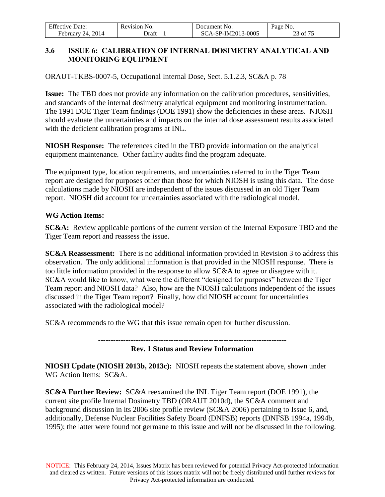| <b>Effective Date:</b> | Revision No. | Document No.       | Page No. |
|------------------------|--------------|--------------------|----------|
| February 24, $2014$    | ⊃ratt        | SCA-SP-IM2013-0005 | 23 of 75 |

### <span id="page-22-0"></span>**3.6 ISSUE 6: CALIBRATION OF INTERNAL DOSIMETRY ANALYTICAL AND MONITORING EQUIPMENT**

ORAUT-TKBS-0007-5, Occupational Internal Dose, Sect. 5.1.2.3, SC&A p. 78

**Issue:** The TBD does not provide any information on the calibration procedures, sensitivities, and standards of the internal dosimetry analytical equipment and monitoring instrumentation. The 1991 DOE Tiger Team findings (DOE 1991) show the deficiencies in these areas. NIOSH should evaluate the uncertainties and impacts on the internal dose assessment results associated with the deficient calibration programs at INL.

**NIOSH Response:** The references cited in the TBD provide information on the analytical equipment maintenance. Other facility audits find the program adequate.

The equipment type, location requirements, and uncertainties referred to in the Tiger Team report are designed for purposes other than those for which NIOSH is using this data. The dose calculations made by NIOSH are independent of the issues discussed in an old Tiger Team report. NIOSH did account for uncertainties associated with the radiological model.

### **WG Action Items:**

**SC&A:** Review applicable portions of the current version of the Internal Exposure TBD and the Tiger Team report and reassess the issue.

**SC&A Reassessment:** There is no additional information provided in Revision 3 to address this observation. The only additional information is that provided in the NIOSH response. There is too little information provided in the response to allow SC&A to agree or disagree with it. SC&A would like to know, what were the different "designed for purposes" between the Tiger Team report and NIOSH data? Also, how are the NIOSH calculations independent of the issues discussed in the Tiger Team report? Finally, how did NIOSH account for uncertainties associated with the radiological model?

SC&A recommends to the WG that this issue remain open for further discussion.

---------------------------------------------------------------------------

### **Rev. 1 Status and Review Information**

**NIOSH Update (NIOSH 2013b, 2013c):** NIOSH repeats the statement above, shown under WG Action Items: SC&A.

**SC&A Further Review:** SC&A reexamined the INL Tiger Team report (DOE 1991), the current site profile Internal Dosimetry TBD (ORAUT 2010d), the SC&A comment and background discussion in its 2006 site profile review (SC&A 2006) pertaining to Issue 6, and, additionally, Defense Nuclear Facilities Safety Board (DNFSB) reports (DNFSB 1994a, 1994b, 1995); the latter were found not germane to this issue and will not be discussed in the following.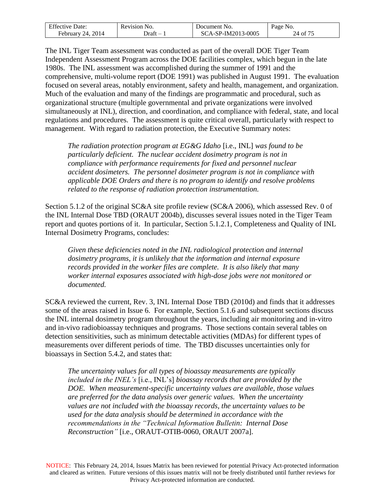| <b>Effective Date:</b> | Revision No. | Document No.       | Page No.                   |
|------------------------|--------------|--------------------|----------------------------|
| February 24, 2014      | - Draft      | SCA-SP-IM2013-0005 | $24 \text{ of } 7^{\circ}$ |

The INL Tiger Team assessment was conducted as part of the overall DOE Tiger Team Independent Assessment Program across the DOE facilities complex, which begun in the late 1980s. The INL assessment was accomplished during the summer of 1991 and the comprehensive, multi-volume report (DOE 1991) was published in August 1991. The evaluation focused on several areas, notably environment, safety and health, management, and organization. Much of the evaluation and many of the findings are programmatic and procedural, such as organizational structure (multiple governmental and private organizations were involved simultaneously at INL), direction, and coordination, and compliance with federal, state, and local regulations and procedures. The assessment is quite critical overall, particularly with respect to management. With regard to radiation protection, the Executive Summary notes:

*The radiation protection program at EG&G Idaho* [i.e., INL] *was found to be particularly deficient. The nuclear accident dosimetry program is not in compliance with performance requirements for fixed and personnel nuclear accident dosimeters. The personnel dosimeter program is not in compliance with applicable DOE Orders and there is no program to identify and resolve problems related to the response of radiation protection instrumentation.* 

Section 5.1.2 of the original SC&A site profile review (SC&A 2006), which assessed Rev. 0 of the INL Internal Dose TBD (ORAUT 2004b), discusses several issues noted in the Tiger Team report and quotes portions of it. In particular, Section 5.1.2.1, Completeness and Quality of INL Internal Dosimetry Programs, concludes:

*Given these deficiencies noted in the INL radiological protection and internal dosimetry programs, it is unlikely that the information and internal exposure records provided in the worker files are complete. It is also likely that many worker internal exposures associated with high-dose jobs were not monitored or documented.* 

SC&A reviewed the current, Rev. 3, INL Internal Dose TBD (2010d) and finds that it addresses some of the areas raised in Issue 6. For example, Section 5.1.6 and subsequent sections discuss the INL internal dosimetry program throughout the years, including air monitoring and in-vitro and in-vivo radiobioassay techniques and programs. Those sections contain several tables on detection sensitivities, such as minimum detectable activities (MDAs) for different types of measurements over different periods of time. The TBD discusses uncertainties only for bioassays in Section 5.4.2, and states that:

*The uncertainty values for all types of bioassay measurements are typically included in the INEL's* [i.e., INL's] *bioassay records that are provided by the DOE. When measurement-specific uncertainty values are available, those values are preferred for the data analysis over generic values. When the uncertainty values are not included with the bioassay records, the uncertainty values to be used for the data analysis should be determined in accordance with the recommendations in the "Technical Information Bulletin: Internal Dose Reconstruction"* [i.e., ORAUT-OTIB-0060, ORAUT 2007a].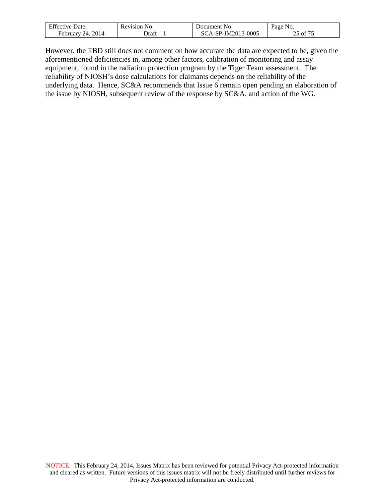| <b>Effective Date:</b>  | Revision No. | Document No.              | Page No.        |
|-------------------------|--------------|---------------------------|-----------------|
| 2014<br>February<br>24. | Jraft        | GCA-SP-IM2013-0005<br>SC7 | $c - c$<br>- of |

However, the TBD still does not comment on how accurate the data are expected to be, given the aforementioned deficiencies in, among other factors, calibration of monitoring and assay equipment, found in the radiation protection program by the Tiger Team assessment. The reliability of NIOSH's dose calculations for claimants depends on the reliability of the underlying data. Hence, SC&A recommends that Issue 6 remain open pending an elaboration of the issue by NIOSH, subsequent review of the response by SC&A, and action of the WG.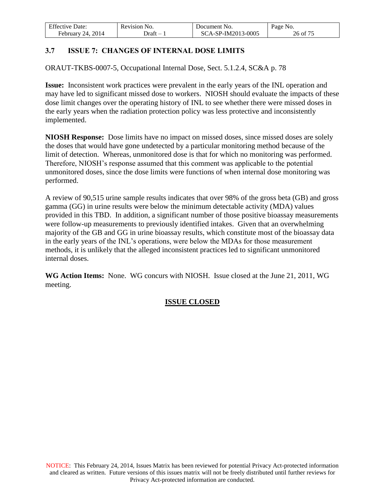| <b>Effective Date:</b>  | Revision No. | Document No.              | Page No. |
|-------------------------|--------------|---------------------------|----------|
| 2014<br>February<br>24. | - Draft      | 'CA-SP-IM2013-0005<br>SC. | 26 of 75 |

# <span id="page-25-0"></span>**3.7 ISSUE 7: CHANGES OF INTERNAL DOSE LIMITS**

ORAUT-TKBS-0007-5, Occupational Internal Dose, Sect. 5.1.2.4, SC&A p. 78

**Issue:** Inconsistent work practices were prevalent in the early years of the INL operation and may have led to significant missed dose to workers. NIOSH should evaluate the impacts of these dose limit changes over the operating history of INL to see whether there were missed doses in the early years when the radiation protection policy was less protective and inconsistently implemented.

**NIOSH Response:** Dose limits have no impact on missed doses, since missed doses are solely the doses that would have gone undetected by a particular monitoring method because of the limit of detection. Whereas, unmonitored dose is that for which no monitoring was performed. Therefore, NIOSH's response assumed that this comment was applicable to the potential unmonitored doses, since the dose limits were functions of when internal dose monitoring was performed.

A review of 90,515 urine sample results indicates that over 98% of the gross beta (GB) and gross gamma (GG) in urine results were below the minimum detectable activity (MDA) values provided in this TBD. In addition, a significant number of those positive bioassay measurements were follow-up measurements to previously identified intakes. Given that an overwhelming majority of the GB and GG in urine bioassay results, which constitute most of the bioassay data in the early years of the INL's operations, were below the MDAs for those measurement methods, it is unlikely that the alleged inconsistent practices led to significant unmonitored internal doses.

**WG Action Items:** None. WG concurs with NIOSH. Issue closed at the June 21, 2011, WG meeting.

# **ISSUE CLOSED**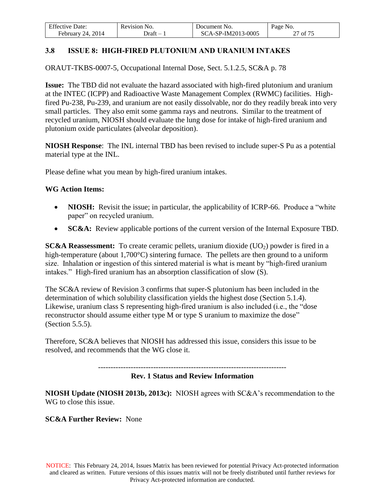| <b>Effective Date:</b> | Revision No. | Document No.       | Page No. |
|------------------------|--------------|--------------------|----------|
| February 24, 2014      | )raft –      | SCA-SP-IM2013-0005 | 27 of 75 |

# <span id="page-26-0"></span>**3.8 ISSUE 8: HIGH-FIRED PLUTONIUM AND URANIUM INTAKES**

ORAUT-TKBS-0007-5, Occupational Internal Dose, Sect. 5.1.2.5, SC&A p. 78

**Issue:** The TBD did not evaluate the hazard associated with high-fired plutonium and uranium at the INTEC (ICPP) and Radioactive Waste Management Complex (RWMC) facilities. Highfired Pu-238, Pu-239, and uranium are not easily dissolvable, nor do they readily break into very small particles. They also emit some gamma rays and neutrons. Similar to the treatment of recycled uranium, NIOSH should evaluate the lung dose for intake of high-fired uranium and plutonium oxide particulates (alveolar deposition).

**NIOSH Response**: The INL internal TBD has been revised to include super-S Pu as a potential material type at the INL.

Please define what you mean by high-fired uranium intakes.

### **WG Action Items:**

- **NIOSH:** Revisit the issue; in particular, the applicability of ICRP-66. Produce a "white paper" on recycled uranium.
- **SC&A:** Review applicable portions of the current version of the Internal Exposure TBD.

**SC&A Reassessment:** To create ceramic pellets, uranium dioxide (UO<sub>2</sub>) powder is fired in a high-temperature (about 1,700°C) sintering furnace. The pellets are then ground to a uniform size. Inhalation or ingestion of this sintered material is what is meant by "high-fired uranium intakes." High-fired uranium has an absorption classification of slow (S).

The SC&A review of Revision 3 confirms that super-S plutonium has been included in the determination of which solubility classification yields the highest dose (Section 5.1.4). Likewise, uranium class S representing high-fired uranium is also included (i.e., the "dose reconstructor should assume either type M or type S uranium to maximize the dose" (Section 5.5.5).

Therefore, SC&A believes that NIOSH has addressed this issue, considers this issue to be resolved, and recommends that the WG close it.

---------------------------------------------------------------------------

### **Rev. 1 Status and Review Information**

**NIOSH Update (NIOSH 2013b, 2013c):** NIOSH agrees with SC&A's recommendation to the WG to close this issue.

### **SC&A Further Review:** None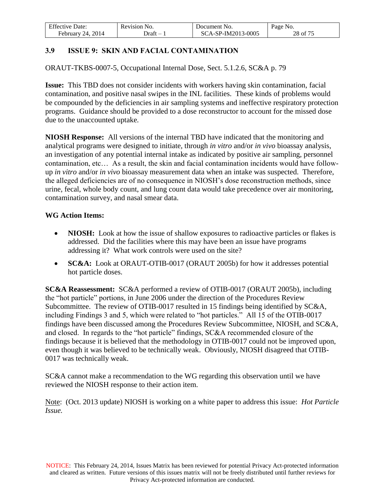| <b>Effective Date:</b>  | Revision No. | Document No.       | Page No. |
|-------------------------|--------------|--------------------|----------|
| 2014<br>February<br>24. | - Draft      | SCA-SP-IM2013-0005 | 28 of 75 |

# <span id="page-27-0"></span>**3.9 ISSUE 9: SKIN AND FACIAL CONTAMINATION**

ORAUT-TKBS-0007-5, Occupational Internal Dose, Sect. 5.1.2.6, SC&A p. 79

**Issue:** This TBD does not consider incidents with workers having skin contamination, facial contamination, and positive nasal swipes in the INL facilities. These kinds of problems would be compounded by the deficiencies in air sampling systems and ineffective respiratory protection programs. Guidance should be provided to a dose reconstructor to account for the missed dose due to the unaccounted uptake.

**NIOSH Response:** All versions of the internal TBD have indicated that the monitoring and analytical programs were designed to initiate, through *in vitro* and/or *in vivo* bioassay analysis, an investigation of any potential internal intake as indicated by positive air sampling, personnel contamination, etc… As a result, the skin and facial contamination incidents would have followup *in vitro* and/or *in vivo* bioassay measurement data when an intake was suspected. Therefore, the alleged deficiencies are of no consequence in NIOSH's dose reconstruction methods, since urine, fecal, whole body count, and lung count data would take precedence over air monitoring, contamination survey, and nasal smear data.

### **WG Action Items:**

- **NIOSH:** Look at how the issue of shallow exposures to radioactive particles or flakes is addressed. Did the facilities where this may have been an issue have programs addressing it? What work controls were used on the site?
- **SC&A:** Look at ORAUT-OTIB-0017 (ORAUT 2005b) for how it addresses potential hot particle doses.

**SC&A Reassessment:** SC&A performed a review of OTIB-0017 (ORAUT 2005b), including the "hot particle" portions, in June 2006 under the direction of the Procedures Review Subcommittee. The review of OTIB-0017 resulted in 15 findings being identified by SC&A, including Findings 3 and 5, which were related to "hot particles." All 15 of the OTIB-0017 findings have been discussed among the Procedures Review Subcommittee, NIOSH, and SC&A, and closed. In regards to the "hot particle" findings, SC&A recommended closure of the findings because it is believed that the methodology in OTIB-0017 could not be improved upon, even though it was believed to be technically weak. Obviously, NIOSH disagreed that OTIB-0017 was technically weak.

SC&A cannot make a recommendation to the WG regarding this observation until we have reviewed the NIOSH response to their action item.

Note: (Oct. 2013 update) NIOSH is working on a white paper to address this issue: *Hot Particle Issue.*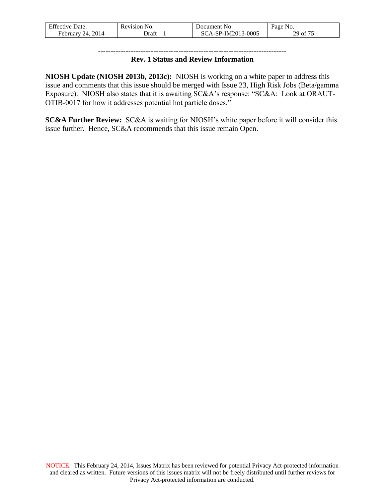| <b>Effective Date:</b>      | Revision No. | Document No.       | Page No. |
|-----------------------------|--------------|--------------------|----------|
| . 2014<br>24.<br>February ' | - )raft      | SCA-SP-IM2013-0005 | 29 of 75 |

### --------------------------------------------------------------------------- **Rev. 1 Status and Review Information**

**NIOSH Update (NIOSH 2013b, 2013c):** NIOSH is working on a white paper to address this issue and comments that this issue should be merged with Issue 23, High Risk Jobs (Beta/gamma Exposure). NIOSH also states that it is awaiting SC&A's response: "SC&A: Look at ORAUT-OTIB-0017 for how it addresses potential hot particle doses."

**SC&A Further Review:** SC&A is waiting for NIOSH's white paper before it will consider this issue further. Hence, SC&A recommends that this issue remain Open.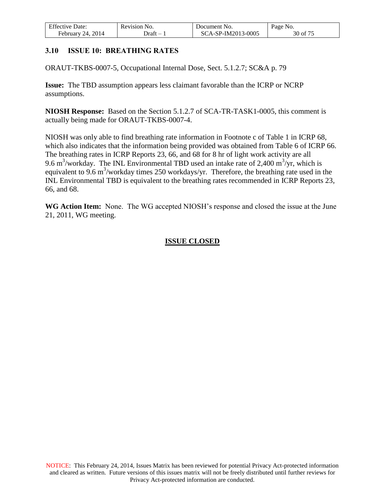| <b>Effective Date:</b> | Revision No. | Document No.       | Page No. |
|------------------------|--------------|--------------------|----------|
| February 24, 2014      | Jraft        | SCA-SP-IM2013-0005 | 30 of 75 |

### <span id="page-29-0"></span>**3.10 ISSUE 10: BREATHING RATES**

ORAUT-TKBS-0007-5, Occupational Internal Dose, Sect. 5.1.2.7; SC&A p. 79

**Issue:** The TBD assumption appears less claimant favorable than the ICRP or NCRP assumptions.

**NIOSH Response:** Based on the Section 5.1.2.7 of SCA-TR-TASK1-0005, this comment is actually being made for ORAUT-TKBS-0007-4.

NIOSH was only able to find breathing rate information in Footnote c of Table 1 in ICRP 68, which also indicates that the information being provided was obtained from Table 6 of ICRP 66. The breathing rates in ICRP Reports 23, 66, and 68 for 8 hr of light work activity are all 9.6 m<sup>3</sup>/workday. The INL Environmental TBD used an intake rate of 2,400 m<sup>3</sup>/yr, which is equivalent to 9.6 m<sup>3</sup>/workday times 250 workdays/yr. Therefore, the breathing rate used in the INL Environmental TBD is equivalent to the breathing rates recommended in ICRP Reports 23, 66, and 68.

**WG Action Item:** None. The WG accepted NIOSH's response and closed the issue at the June 21, 2011, WG meeting.

### **ISSUE CLOSED**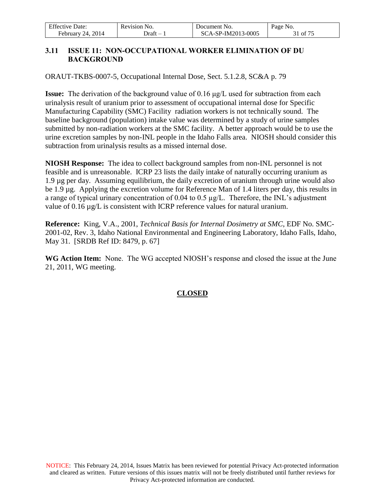| <b>Effective Date:</b> | Revision No. | Document No.       | Page No. |
|------------------------|--------------|--------------------|----------|
| February 24, 2014      | - Draft      | SCA-SP-IM2013-0005 | 1 of 75  |

## <span id="page-30-0"></span>**3.11 ISSUE 11: NON-OCCUPATIONAL WORKER ELIMINATION OF DU BACKGROUND**

ORAUT-TKBS-0007-5, Occupational Internal Dose, Sect. 5.1.2.8, SC&A p. 79

**Issue:** The derivation of the background value of 0.16 μg/L used for subtraction from each urinalysis result of uranium prior to assessment of occupational internal dose for Specific Manufacturing Capability (SMC) Facility radiation workers is not technically sound. The baseline background (population) intake value was determined by a study of urine samples submitted by non-radiation workers at the SMC facility. A better approach would be to use the urine excretion samples by non-INL people in the Idaho Falls area. NIOSH should consider this subtraction from urinalysis results as a missed internal dose.

**NIOSH Response:** The idea to collect background samples from non-INL personnel is not feasible and is unreasonable. ICRP 23 lists the daily intake of naturally occurring uranium as 1.9 µg per day. Assuming equilibrium, the daily excretion of uranium through urine would also be 1.9 µg. Applying the excretion volume for Reference Man of 1.4 liters per day, this results in a range of typical urinary concentration of 0.04 to 0.5 µg/L. Therefore, the INL's adjustment value of 0.16 µg/L is consistent with ICRP reference values for natural uranium.

**Reference:** King, V.A., 2001, *Technical Basis for Internal Dosimetry at SMC*, EDF No. SMC-2001-02, Rev. 3, Idaho National Environmental and Engineering Laboratory, Idaho Falls, Idaho, May 31. [SRDB Ref ID: 8479, p. 67]

**WG Action Item:** None. The WG accepted NIOSH's response and closed the issue at the June 21, 2011, WG meeting.

# **CLOSED**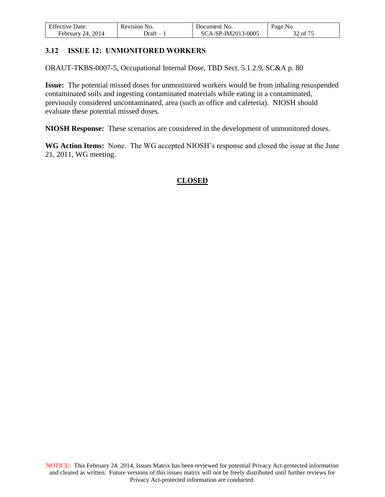| <b>Effective Date:</b> | Revision No. | Document No.       | Page No. |
|------------------------|--------------|--------------------|----------|
| February 24, 2014      | - Draft      | SCA-SP-IM2013-0005 | 32 of 75 |

### <span id="page-31-0"></span>**3.12 ISSUE 12: UNMONITORED WORKERS**

ORAUT-TKBS-0007-5, Occupational Internal Dose, TBD Sect. 5.1.2.9, SC&A p. 80

**Issue:** The potential missed doses for unmonitored workers would be from inhaling resuspended contaminated soils and ingesting contaminated materials while eating in a contaminated, previously considered uncontaminated, area (such as office and cafeteria). NIOSH should evaluate these potential missed doses.

**NIOSH Response:** These scenarios are considered in the development of unmonitored doses.

**WG Action Items:** None. The WG accepted NIOSH's response and closed the issue at the June 21, 2011, WG meeting.

### **CLOSED**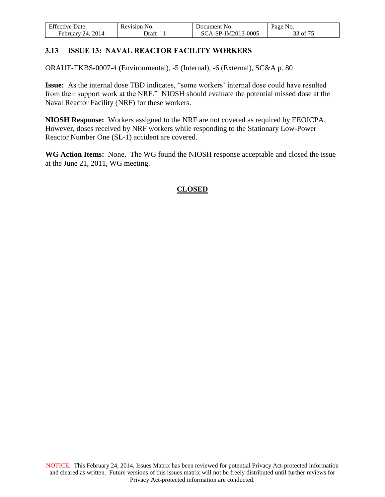| <b>Effective Date:</b>  | Revision No. | Document No.       | Page No. |
|-------------------------|--------------|--------------------|----------|
| 2014<br>February<br>24. | - Draft      | SCA-SP-IM2013-0005 | 33 of 75 |

# <span id="page-32-0"></span>**3.13 ISSUE 13: NAVAL REACTOR FACILITY WORKERS**

ORAUT-TKBS-0007-4 (Environmental), -5 (Internal), -6 (External), SC&A p. 80

**Issue:** As the internal dose TBD indicates, "some workers' internal dose could have resulted from their support work at the NRF." NIOSH should evaluate the potential missed dose at the Naval Reactor Facility (NRF) for these workers.

**NIOSH Response:** Workers assigned to the NRF are not covered as required by EEOICPA. However, doses received by NRF workers while responding to the Stationary Low-Power Reactor Number One (SL-1) accident are covered.

**WG Action Items:** None. The WG found the NIOSH response acceptable and closed the issue at the June 21, 2011, WG meeting.

# **CLOSED**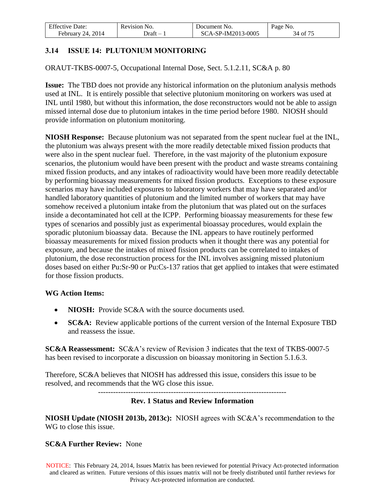| <b>Effective Date:</b>  | Revision No. | Document No.       | Page No. |
|-------------------------|--------------|--------------------|----------|
| 2014<br>February<br>24. | - Draft      | SCA-SP-IM2013-0005 | 34 of 75 |

# <span id="page-33-0"></span>**3.14 ISSUE 14: PLUTONIUM MONITORING**

ORAUT-TKBS-0007-5, Occupational Internal Dose, Sect. 5.1.2.11, SC&A p. 80

**Issue:** The TBD does not provide any historical information on the plutonium analysis methods used at INL. It is entirely possible that selective plutonium monitoring on workers was used at INL until 1980, but without this information, the dose reconstructors would not be able to assign missed internal dose due to plutonium intakes in the time period before 1980. NIOSH should provide information on plutonium monitoring.

**NIOSH Response:** Because plutonium was not separated from the spent nuclear fuel at the INL, the plutonium was always present with the more readily detectable mixed fission products that were also in the spent nuclear fuel. Therefore, in the vast majority of the plutonium exposure scenarios, the plutonium would have been present with the product and waste streams containing mixed fission products, and any intakes of radioactivity would have been more readily detectable by performing bioassay measurements for mixed fission products. Exceptions to these exposure scenarios may have included exposures to laboratory workers that may have separated and/or handled laboratory quantities of plutonium and the limited number of workers that may have somehow received a plutonium intake from the plutonium that was plated out on the surfaces inside a decontaminated hot cell at the ICPP. Performing bioassay measurements for these few types of scenarios and possibly just as experimental bioassay procedures, would explain the sporadic plutonium bioassay data. Because the INL appears to have routinely performed bioassay measurements for mixed fission products when it thought there was any potential for exposure, and because the intakes of mixed fission products can be correlated to intakes of plutonium, the dose reconstruction process for the INL involves assigning missed plutonium doses based on either Pu:Sr-90 or Pu:Cs-137 ratios that get applied to intakes that were estimated for those fission products.

### **WG Action Items:**

- **NIOSH:** Provide SC&A with the source documents used.
- **SC&A:** Review applicable portions of the current version of the Internal Exposure TBD and reassess the issue.

**SC&A Reassessment:** SC&A's review of Revision 3 indicates that the text of TKBS-0007-5 has been revised to incorporate a discussion on bioassay monitoring in Section 5.1.6.3.

Therefore, SC&A believes that NIOSH has addressed this issue, considers this issue to be resolved, and recommends that the WG close this issue.

---------------------------------------------------------------------------

### **Rev. 1 Status and Review Information**

**NIOSH Update (NIOSH 2013b, 2013c):** NIOSH agrees with SC&A's recommendation to the WG to close this issue.

### **SC&A Further Review:** None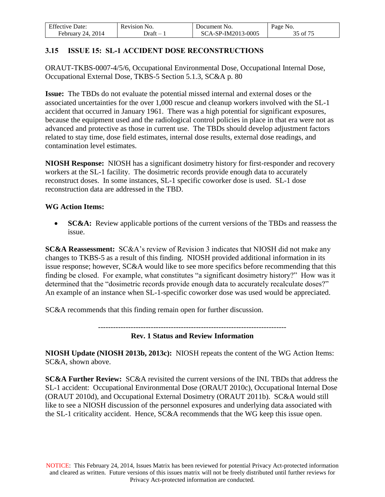| <b>Effective Date:</b> | Revision No. | Document No.       | Page No. |
|------------------------|--------------|--------------------|----------|
| 24, 2014<br>February : | - )raft      | SCA-SP-IM2013-0005 | 35 of 75 |

## <span id="page-34-0"></span>**3.15 ISSUE 15: SL-1 ACCIDENT DOSE RECONSTRUCTIONS**

ORAUT-TKBS-0007-4/5/6, Occupational Environmental Dose, Occupational Internal Dose, Occupational External Dose, TKBS-5 Section 5.1.3, SC&A p. 80

**Issue:** The TBDs do not evaluate the potential missed internal and external doses or the associated uncertainties for the over 1,000 rescue and cleanup workers involved with the SL-1 accident that occurred in January 1961. There was a high potential for significant exposures, because the equipment used and the radiological control policies in place in that era were not as advanced and protective as those in current use. The TBDs should develop adjustment factors related to stay time, dose field estimates, internal dose results, external dose readings, and contamination level estimates.

**NIOSH Response:** NIOSH has a significant dosimetry history for first-responder and recovery workers at the SL-1 facility. The dosimetric records provide enough data to accurately reconstruct doses. In some instances, SL-1 specific coworker dose is used. SL-1 dose reconstruction data are addressed in the TBD.

### **WG Action Items:**

 **SC&A:** Review applicable portions of the current versions of the TBDs and reassess the issue.

**SC&A Reassessment:** SC&A's review of Revision 3 indicates that NIOSH did not make any changes to TKBS-5 as a result of this finding. NIOSH provided additional information in its issue response; however, SC&A would like to see more specifics before recommending that this finding be closed. For example, what constitutes "a significant dosimetry history?" How was it determined that the "dosimetric records provide enough data to accurately recalculate doses?" An example of an instance when SL-1-specific coworker dose was used would be appreciated.

SC&A recommends that this finding remain open for further discussion.

---------------------------------------------------------------------------

**Rev. 1 Status and Review Information** 

**NIOSH Update (NIOSH 2013b, 2013c):** NIOSH repeats the content of the WG Action Items: SC&A, shown above.

**SC&A Further Review:** SC&A revisited the current versions of the INL TBDs that address the SL-1 accident: Occupational Environmental Dose (ORAUT 2010c), Occupational Internal Dose (ORAUT 2010d), and Occupational External Dosimetry (ORAUT 2011b). SC&A would still like to see a NIOSH discussion of the personnel exposures and underlying data associated with the SL-1 criticality accident. Hence, SC&A recommends that the WG keep this issue open.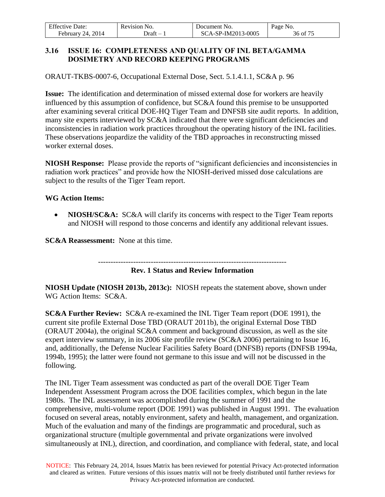| Effective 1            | NO.      | Document No.       | Page                      |
|------------------------|----------|--------------------|---------------------------|
| Date:                  | Revision |                    | NO.                       |
| 2014<br>Februarv<br>14 | - Jraft  | SCA-SP-IM2013-0005 | $\sim$ $-$<br>-of<br>.30. |

### <span id="page-35-0"></span>**3.16 ISSUE 16: COMPLETENESS AND QUALITY OF INL BETA/GAMMA DOSIMETRY AND RECORD KEEPING PROGRAMS**

ORAUT-TKBS-0007-6, Occupational External Dose, Sect. 5.1.4.1.1, SC&A p. 96

**Issue:** The identification and determination of missed external dose for workers are heavily influenced by this assumption of confidence, but SC&A found this premise to be unsupported after examining several critical DOE-HQ Tiger Team and DNFSB site audit reports. In addition, many site experts interviewed by SC&A indicated that there were significant deficiencies and inconsistencies in radiation work practices throughout the operating history of the INL facilities. These observations jeopardize the validity of the TBD approaches in reconstructing missed worker external doses.

**NIOSH Response:** Please provide the reports of "significant deficiencies and inconsistencies in radiation work practices" and provide how the NIOSH-derived missed dose calculations are subject to the results of the Tiger Team report.

### **WG Action Items:**

• NIOSH/SC&A: SC&A will clarify its concerns with respect to the Tiger Team reports and NIOSH will respond to those concerns and identify any additional relevant issues.

**SC&A Reassessment:** None at this time.

---------------------------------------------------------------------------

### **Rev. 1 Status and Review Information**

**NIOSH Update (NIOSH 2013b, 2013c):** NIOSH repeats the statement above, shown under WG Action Items: SC&A.

**SC&A Further Review:** SC&A re-examined the INL Tiger Team report (DOE 1991), the current site profile External Dose TBD (ORAUT 2011b), the original External Dose TBD (ORAUT 2004a), the original SC&A comment and background discussion, as well as the site expert interview summary, in its 2006 site profile review (SC&A 2006) pertaining to Issue 16, and, additionally, the Defense Nuclear Facilities Safety Board (DNFSB) reports (DNFSB 1994a, 1994b, 1995); the latter were found not germane to this issue and will not be discussed in the following.

The INL Tiger Team assessment was conducted as part of the overall DOE Tiger Team Independent Assessment Program across the DOE facilities complex, which begun in the late 1980s. The INL assessment was accomplished during the summer of 1991 and the comprehensive, multi-volume report (DOE 1991) was published in August 1991. The evaluation focused on several areas, notably environment, safety and health, management, and organization. Much of the evaluation and many of the findings are programmatic and procedural, such as organizational structure (multiple governmental and private organizations were involved simultaneously at INL), direction, and coordination, and compliance with federal, state, and local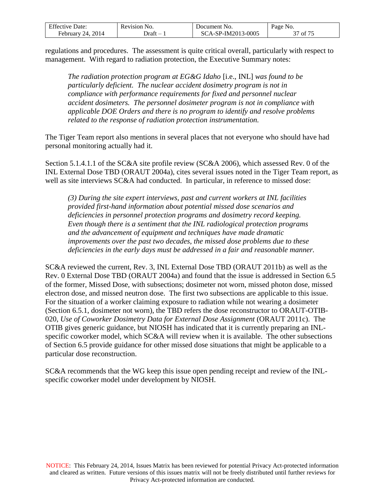| <b>Effective Date:</b> | Revision No. | Document No.       | Page No. |
|------------------------|--------------|--------------------|----------|
| February 24, 2014      | - Draft      | SCA-SP-IM2013-0005 | 37 of 75 |

regulations and procedures. The assessment is quite critical overall, particularly with respect to management. With regard to radiation protection, the Executive Summary notes:

*The radiation protection program at EG&G Idaho* [i.e., INL] *was found to be particularly deficient. The nuclear accident dosimetry program is not in compliance with performance requirements for fixed and personnel nuclear accident dosimeters. The personnel dosimeter program is not in compliance with applicable DOE Orders and there is no program to identify and resolve problems related to the response of radiation protection instrumentation.* 

The Tiger Team report also mentions in several places that not everyone who should have had personal monitoring actually had it.

Section 5.1.4.1.1 of the SC&A site profile review (SC&A 2006), which assessed Rev. 0 of the INL External Dose TBD (ORAUT 2004a), cites several issues noted in the Tiger Team report, as well as site interviews SC&A had conducted. In particular, in reference to missed dose:

*(3) During the site expert interviews, past and current workers at INL facilities provided first-hand information about potential missed dose scenarios and deficiencies in personnel protection programs and dosimetry record keeping. Even though there is a sentiment that the INL radiological protection programs and the advancement of equipment and techniques have made dramatic improvements over the past two decades, the missed dose problems due to these deficiencies in the early days must be addressed in a fair and reasonable manner.* 

SC&A reviewed the current, Rev. 3, INL External Dose TBD (ORAUT 2011b) as well as the Rev. 0 External Dose TBD (ORAUT 2004a) and found that the issue is addressed in Section 6.5 of the former, Missed Dose, with subsections; dosimeter not worn, missed photon dose, missed electron dose, and missed neutron dose. The first two subsections are applicable to this issue. For the situation of a worker claiming exposure to radiation while not wearing a dosimeter (Section 6.5.1, dosimeter not worn), the TBD refers the dose reconstructor to ORAUT-OTIB-020, *Use of Coworker Dosimetry Data for External Dose Assignment* (ORAUT 2011c). The OTIB gives generic guidance, but NIOSH has indicated that it is currently preparing an INLspecific coworker model, which SC&A will review when it is available. The other subsections of Section 6.5 provide guidance for other missed dose situations that might be applicable to a particular dose reconstruction.

SC&A recommends that the WG keep this issue open pending receipt and review of the INLspecific coworker model under development by NIOSH.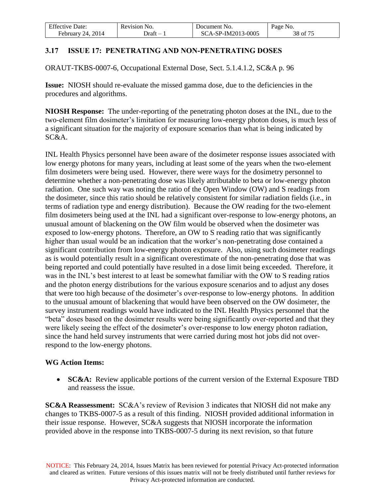| $F^{ac}$<br>⊅ate:<br>Effective | NO.<br>Revision | NO.<br>Jocument             | Page<br>NO.             |
|--------------------------------|-----------------|-----------------------------|-------------------------|
| 2014<br>2Δ<br>February         | Jraft<br>__     | ?-IM2013-0005<br>.SP.<br>J۱ | $\sim$ $ -$<br>38<br>ΟĪ |

## **3.17 ISSUE 17: PENETRATING AND NON-PENETRATING DOSES**

ORAUT-TKBS-0007-6, Occupational External Dose, Sect. 5.1.4.1.2, SC&A p. 96

**Issue:** NIOSH should re-evaluate the missed gamma dose, due to the deficiencies in the procedures and algorithms.

**NIOSH Response:** The under-reporting of the penetrating photon doses at the INL, due to the two-element film dosimeter's limitation for measuring low-energy photon doses, is much less of a significant situation for the majority of exposure scenarios than what is being indicated by SC&A.

INL Health Physics personnel have been aware of the dosimeter response issues associated with low energy photons for many years, including at least some of the years when the two-element film dosimeters were being used. However, there were ways for the dosimetry personnel to determine whether a non-penetrating dose was likely attributable to beta or low-energy photon radiation. One such way was noting the ratio of the Open Window (OW) and S readings from the dosimeter, since this ratio should be relatively consistent for similar radiation fields (i.e., in terms of radiation type and energy distribution). Because the OW reading for the two-element film dosimeters being used at the INL had a significant over-response to low-energy photons, an unusual amount of blackening on the OW film would be observed when the dosimeter was exposed to low-energy photons. Therefore, an OW to S reading ratio that was significantly higher than usual would be an indication that the worker's non-penetrating dose contained a significant contribution from low-energy photon exposure. Also, using such dosimeter readings as is would potentially result in a significant overestimate of the non-penetrating dose that was being reported and could potentially have resulted in a dose limit being exceeded. Therefore, it was in the INL's best interest to at least be somewhat familiar with the OW to S reading ratios and the photon energy distributions for the various exposure scenarios and to adjust any doses that were too high because of the dosimeter's over-response to low-energy photons. In addition to the unusual amount of blackening that would have been observed on the OW dosimeter, the survey instrument readings would have indicated to the INL Health Physics personnel that the "beta" doses based on the dosimeter results were being significantly over-reported and that they were likely seeing the effect of the dosimeter's over-response to low energy photon radiation, since the hand held survey instruments that were carried during most hot jobs did not overrespond to the low-energy photons.

## **WG Action Items:**

• **SC&A:** Review applicable portions of the current version of the External Exposure TBD and reassess the issue.

**SC&A Reassessment:** SC&A's review of Revision 3 indicates that NIOSH did not make any changes to TKBS-0007-5 as a result of this finding. NIOSH provided additional information in their issue response. However, SC&A suggests that NIOSH incorporate the information provided above in the response into TKBS-0007-5 during its next revision, so that future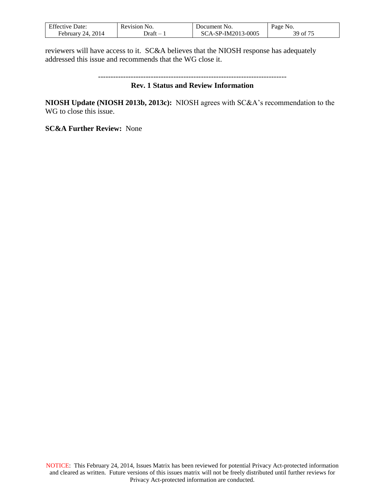| <b>Effective Date:</b> | Revision No. | Document No.       | Page No.                                           |
|------------------------|--------------|--------------------|----------------------------------------------------|
| February 24, 2014      | - Draft      | SCA-SP-IM2013-0005 | $\mathcal{L}$ $\mathcal{L}$ $\mathcal{L}$<br>39 of |

reviewers will have access to it.SC&A believes that the NIOSH response has adequately addressed this issue and recommends that the WG close it.

```
---------------------------------------------------------------------------
```
#### **Rev. 1 Status and Review Information**

**NIOSH Update (NIOSH 2013b, 2013c):** NIOSH agrees with SC&A's recommendation to the WG to close this issue.

**SC&A Further Review:** None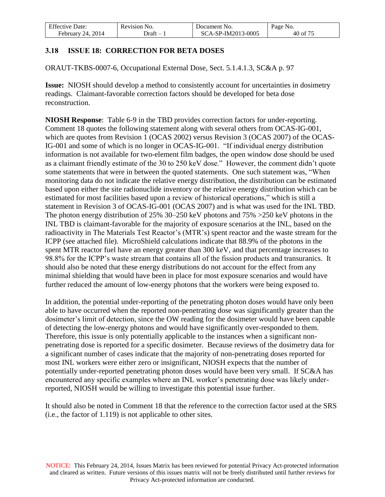| <b>Effective Date:</b> | Revision No. | Document No.       | Page No. |
|------------------------|--------------|--------------------|----------|
| February 24, 2014      | - Draft      | SCA-SP-IM2013-0005 | 40 of 75 |

## **3.18 ISSUE 18: CORRECTION FOR BETA DOSES**

ORAUT-TKBS-0007-6, Occupational External Dose, Sect. 5.1.4.1.3, SC&A p. 97

**Issue:** NIOSH should develop a method to consistently account for uncertainties in dosimetry readings. Claimant-favorable correction factors should be developed for beta dose reconstruction.

**NIOSH Response**: Table 6-9 in the TBD provides correction factors for under-reporting. Comment 18 quotes the following statement along with several others from OCAS-IG-001, which are quotes from Revision 1 (OCAS 2002) versus Revision 3 (OCAS 2007) of the OCAS-IG-001 and some of which is no longer in OCAS-IG-001. "If individual energy distribution information is not available for two-element film badges, the open window dose should be used as a claimant friendly estimate of the 30 to 250 keV dose." However, the comment didn't quote some statements that were in between the quoted statements. One such statement was, "When monitoring data do not indicate the relative energy distribution, the distribution can be estimated based upon either the site radionuclide inventory or the relative energy distribution which can be estimated for most facilities based upon a review of historical operations," which is still a statement in Revision 3 of OCAS-IG-001 (OCAS 2007) and is what was used for the INL TBD. The photon energy distribution of 25% 30–250 keV photons and 75% >250 keV photons in the INL TBD is claimant-favorable for the majority of exposure scenarios at the INL, based on the radioactivity in The Materials Test Reactor's (MTR's) spent reactor and the waste stream for the ICPP (see attached file). MicroShield calculations indicate that 88.9% of the photons in the spent MTR reactor fuel have an energy greater than 300 keV, and that percentage increases to 98.8% for the ICPP's waste stream that contains all of the fission products and transuranics. It should also be noted that these energy distributions do not account for the effect from any minimal shielding that would have been in place for most exposure scenarios and would have further reduced the amount of low-energy photons that the workers were being exposed to.

In addition, the potential under-reporting of the penetrating photon doses would have only been able to have occurred when the reported non-penetrating dose was significantly greater than the dosimeter's limit of detection, since the OW reading for the dosimeter would have been capable of detecting the low-energy photons and would have significantly over-responded to them. Therefore, this issue is only potentially applicable to the instances when a significant nonpenetrating dose is reported for a specific dosimeter. Because reviews of the dosimetry data for a significant number of cases indicate that the majority of non-penetrating doses reported for most INL workers were either zero or insignificant, NIOSH expects that the number of potentially under-reported penetrating photon doses would have been very small. If SC&A has encountered any specific examples where an INL worker's penetrating dose was likely underreported, NIOSH would be willing to investigate this potential issue further.

It should also be noted in Comment 18 that the reference to the correction factor used at the SRS (i.e., the factor of 1.119) is not applicable to other sites.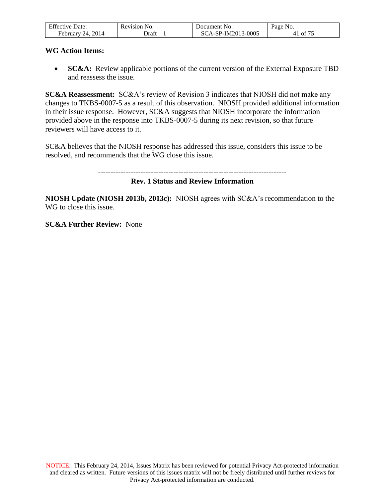| <b>Effective Date:</b> | Revision No. | Document No.       | Page No. |
|------------------------|--------------|--------------------|----------|
| February 24, 2014      | ⊃raft – ′    | SCA-SP-IM2013-0005 | 41 of 75 |

### **WG Action Items:**

**SC&A:** Review applicable portions of the current version of the External Exposure TBD and reassess the issue.

**SC&A Reassessment:** SC&A's review of Revision 3 indicates that NIOSH did not make any changes to TKBS-0007-5 as a result of this observation. NIOSH provided additional information in their issue response. However, SC&A suggests that NIOSH incorporate the information provided above in the response into TKBS-0007-5 during its next revision, so that future reviewers will have access to it.

SC&A believes that the NIOSH response has addressed this issue, considers this issue to be resolved, and recommends that the WG close this issue.

```
---------------------------------------------------------------------------
```
## **Rev. 1 Status and Review Information**

**NIOSH Update (NIOSH 2013b, 2013c):** NIOSH agrees with SC&A's recommendation to the WG to close this issue.

**SC&A Further Review:** None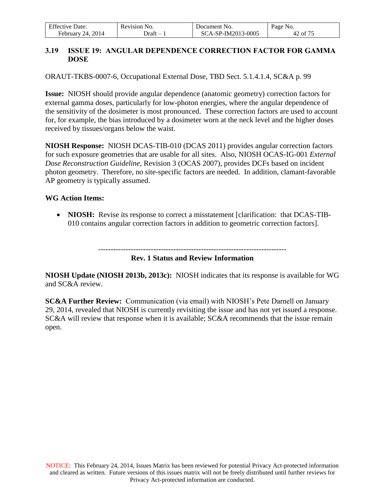| <b>Effective Date:</b> | Revision No. | Document No.       | Page No. |
|------------------------|--------------|--------------------|----------|
| February 24, $2014$    | - Draft      | SCA-SP-IM2013-0005 | 42 of 75 |

## **3.19 ISSUE 19: ANGULAR DEPENDENCE CORRECTION FACTOR FOR GAMMA DOSE**

ORAUT-TKBS-0007-6, Occupational External Dose, TBD Sect. 5.1.4.1.4, SC&A p. 99

**Issue:** NIOSH should provide angular dependence (anatomic geometry) correction factors for external gamma doses, particularly for low-photon energies, where the angular dependence of the sensitivity of the dosimeter is most pronounced. These correction factors are used to account for, for example, the bias introduced by a dosimeter worn at the neck level and the higher doses received by tissues/organs below the waist.

**NIOSH Response:** NIOSH DCAS-TIB-010 (DCAS 2011) provides angular correction factors for such exposure geometries that are usable for all sites. Also, NIOSH OCAS-IG-001 *External Dose Reconstruction Guideline*, Revision 3 (OCAS 2007), provides DCFs based on incident photon geometry. Therefore, no site-specific factors are needed. In addition, clamant-favorable AP geometry is typically assumed.

### **WG Action Items:**

• **NIOSH:** Revise its response to correct a misstatement [clarification: that DCAS-TIB-010 contains angular correction factors in addition to geometric correction factors].

> --------------------------------------------------------------------------- **Rev. 1 Status and Review Information**

**NIOSH Update (NIOSH 2013b, 2013c):** NIOSH indicates that its response is available for WG and SC&A review.

**SC&A Further Review:** Communication (via email) with NIOSH's Pete Darnell on January 29, 2014, revealed that NIOSH is currently revisiting the issue and has not yet issued a response. SC&A will review that response when it is available; SC&A recommends that the issue remain open.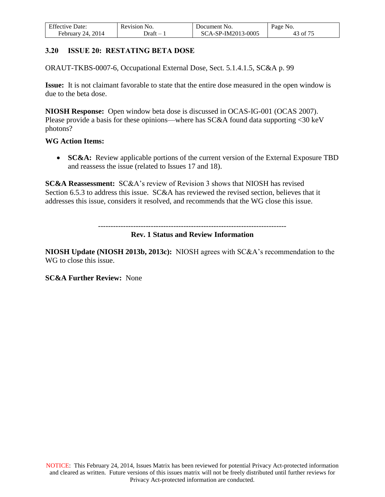| <b>Effective Date:</b> | Revision No. | Document No.       | Page No.    |
|------------------------|--------------|--------------------|-------------|
| February 24, 2014      | - Draft      | SCA-SP-IM2013-0005 | 43 of $7^5$ |

### **3.20 ISSUE 20: RESTATING BETA DOSE**

ORAUT-TKBS-0007-6, Occupational External Dose, Sect. 5.1.4.1.5, SC&A p. 99

**Issue:** It is not claimant favorable to state that the entire dose measured in the open window is due to the beta dose.

**NIOSH Response:** Open window beta dose is discussed in OCAS-IG-001 (OCAS 2007). Please provide a basis for these opinions—where has SC&A found data supporting <30 keV photons?

#### **WG Action Items:**

• **SC&A:** Review applicable portions of the current version of the External Exposure TBD and reassess the issue (related to Issues 17 and 18).

**SC&A Reassessment:** SC&A's review of Revision 3 shows that NIOSH has revised Section 6.5.3 to address this issue. SC&A has reviewed the revised section, believes that it addresses this issue, considers it resolved, and recommends that the WG close this issue.

---------------------------------------------------------------------------

## **Rev. 1 Status and Review Information**

**NIOSH Update (NIOSH 2013b, 2013c):** NIOSH agrees with SC&A's recommendation to the WG to close this issue.

**SC&A Further Review:** None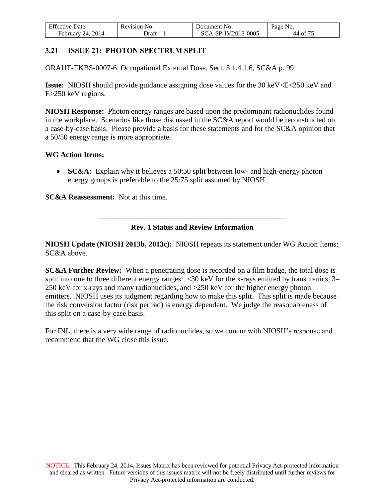| <b>Effective Date:</b>    | Revision No. | Document No.       | Page No. |
|---------------------------|--------------|--------------------|----------|
| . 2014<br>February $24$ . | - Draft      | SCA-SP-IM2013-0005 | 44 of 75 |

## **3.21 ISSUE 21: PHOTON SPECTRUM SPLIT**

ORAUT-TKBS-0007-6, Occupational External Dose, Sect. 5.1.4.1.6, SC&A p. 99

**Issue:** NIOSH should provide guidance assigning dose values for the 30 keV<E<250 keV and E>250 keV regions.

**NIOSH Response:** Photon energy ranges are based upon the predominant radionuclides found in the workplace. Scenarios like those discussed in the SC&A report would be reconstructed on a case-by-case basis. Please provide a basis for these statements and for the SC&A opinion that a 50/50 energy range is more appropriate.

### **WG Action Items:**

**SC&A:** Explain why it believes a 50:50 split between low- and high-energy photon energy groups is preferable to the 25:75 split assumed by NIOSH.

**SC&A Reassessment:** Not at this time.

#### **Rev. 1 Status and Review Information**

**NIOSH Update (NIOSH 2013b, 2013c):** NIOSH repeats its statement under WG Action Items: SC&A above.

**SC&A Further Review:** When a penetrating dose is recorded on a film badge, the total dose is split into one to three different energy ranges: <30 keV for the x-rays emitted by transuranics, 3– 250 keV for x-rays and many radionuclides, and >250 keV for the higher energy photon emitters. NIOSH uses its judgment regarding how to make this split. This split is made because the risk conversion factor (risk per rad) is energy dependent. We judge the reasonableness of this split on a case-by-case basis.

For INL, there is a very wide range of radionuclides, so we concur with NIOSH's response and recommend that the WG close this issue.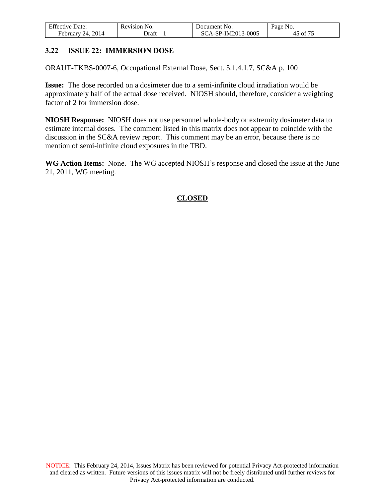| <b>Effective Date:</b>    | Revision No. | Document No.       | Page No.                  |
|---------------------------|--------------|--------------------|---------------------------|
| . 2014<br>February<br>24. | Jraft        | SCA-SP-IM2013-0005 | $\overline{\nu}$ of $7^5$ |

## **3.22 ISSUE 22: IMMERSION DOSE**

ORAUT-TKBS-0007-6, Occupational External Dose, Sect. 5.1.4.1.7, SC&A p. 100

**Issue:** The dose recorded on a dosimeter due to a semi-infinite cloud irradiation would be approximately half of the actual dose received. NIOSH should, therefore, consider a weighting factor of 2 for immersion dose.

**NIOSH Response:** NIOSH does not use personnel whole-body or extremity dosimeter data to estimate internal doses. The comment listed in this matrix does not appear to coincide with the discussion in the SC&A review report. This comment may be an error, because there is no mention of semi-infinite cloud exposures in the TBD.

**WG Action Items:** None. The WG accepted NIOSH's response and closed the issue at the June 21, 2011, WG meeting.

# **CLOSED**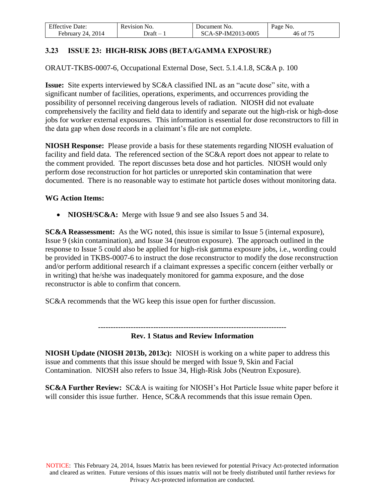| <b>Effective Date:</b> | Revision No. | Document No.       | Page No. |
|------------------------|--------------|--------------------|----------|
| 24, 2014<br>February   | - Draft      | SCA-SP-IM2013-0005 | 6 of 75  |

# **3.23 ISSUE 23: HIGH-RISK JOBS (BETA/GAMMA EXPOSURE)**

ORAUT-TKBS-0007-6, Occupational External Dose, Sect. 5.1.4.1.8, SC&A p. 100

**Issue:** Site experts interviewed by SC&A classified INL as an "acute dose" site, with a significant number of facilities, operations, experiments, and occurrences providing the possibility of personnel receiving dangerous levels of radiation. NIOSH did not evaluate comprehensively the facility and field data to identify and separate out the high-risk or high-dose jobs for worker external exposures. This information is essential for dose reconstructors to fill in the data gap when dose records in a claimant's file are not complete.

**NIOSH Response:** Please provide a basis for these statements regarding NIOSH evaluation of facility and field data. The referenced section of the SC&A report does not appear to relate to the comment provided. The report discusses beta dose and hot particles. NIOSH would only perform dose reconstruction for hot particles or unreported skin contamination that were documented. There is no reasonable way to estimate hot particle doses without monitoring data.

#### **WG Action Items:**

• **NIOSH/SC&A:** Merge with Issue 9 and see also Issues 5 and 34.

**SC&A Reassessment:** As the WG noted, this issue is similar to Issue 5 (internal exposure), Issue 9 (skin contamination), and Issue 34 (neutron exposure). The approach outlined in the response to Issue 5 could also be applied for high-risk gamma exposure jobs, i.e., wording could be provided in TKBS-0007-6 to instruct the dose reconstructor to modify the dose reconstruction and/or perform additional research if a claimant expresses a specific concern (either verbally or in writing) that he/she was inadequately monitored for gamma exposure, and the dose reconstructor is able to confirm that concern.

SC&A recommends that the WG keep this issue open for further discussion.

---------------------------------------------------------------------------

### **Rev. 1 Status and Review Information**

**NIOSH Update (NIOSH 2013b, 2013c):** NIOSH is working on a white paper to address this issue and comments that this issue should be merged with Issue 9, Skin and Facial Contamination. NIOSH also refers to Issue 34, High-Risk Jobs (Neutron Exposure).

**SC&A Further Review:** SC&A is waiting for NIOSH's Hot Particle Issue white paper before it will consider this issue further. Hence, SC&A recommends that this issue remain Open.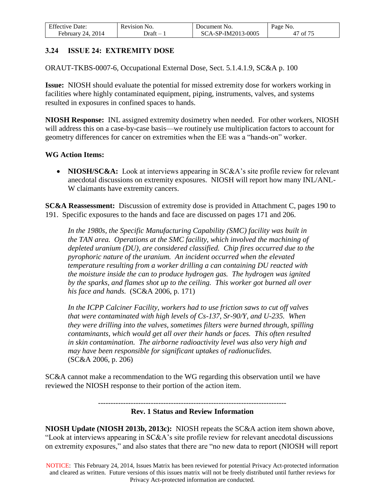| <b>Effective Date:</b> | Revision No. | Document No.       | Page No. |
|------------------------|--------------|--------------------|----------|
| February 24, 2014      | - Draft      | SCA-SP-IM2013-0005 | 47 of 75 |

## **3.24 ISSUE 24: EXTREMITY DOSE**

ORAUT-TKBS-0007-6, Occupational External Dose, Sect. 5.1.4.1.9, SC&A p. 100

**Issue:** NIOSH should evaluate the potential for missed extremity dose for workers working in facilities where highly contaminated equipment, piping, instruments, valves, and systems resulted in exposures in confined spaces to hands.

**NIOSH Response:** INL assigned extremity dosimetry when needed. For other workers, NIOSH will address this on a case-by-case basis—we routinely use multiplication factors to account for geometry differences for cancer on extremities when the EE was a "hands-on" worker.

#### **WG Action Items:**

• **NIOSH/SC&A:** Look at interviews appearing in SC&A's site profile review for relevant anecdotal discussions on extremity exposures. NIOSH will report how many INL/ANL-W claimants have extremity cancers.

**SC&A Reassessment:** Discussion of extremity dose is provided in Attachment C, pages 190 to 191. Specific exposures to the hands and face are discussed on pages 171 and 206.

*In the 1980s, the Specific Manufacturing Capability (SMC) facility was built in the TAN area. Operations at the SMC facility, which involved the machining of depleted uranium (DU), are considered classified. Chip fires occurred due to the pyrophoric nature of the uranium. An incident occurred when the elevated temperature resulting from a worker drilling a can containing DU reacted with the moisture inside the can to produce hydrogen gas. The hydrogen was ignited by the sparks, and flames shot up to the ceiling. This worker got burned all over his face and hands.* (SC&A 2006, p. 171)

*In the ICPP Calciner Facility, workers had to use friction saws to cut off valves that were contaminated with high levels of Cs-137, Sr-90/Y, and U-235. When they were drilling into the valves, sometimes filters were burned through, spilling contaminants, which would get all over their hands or faces. This often resulted in skin contamination. The airborne radioactivity level was also very high and may have been responsible for significant uptakes of radionuclides.*  (SC&A 2006, p. 206)

SC&A cannot make a recommendation to the WG regarding this observation until we have reviewed the NIOSH response to their portion of the action item.

#### --------------------------------------------------------------------------- **Rev. 1 Status and Review Information**

**NIOSH Update (NIOSH 2013b, 2013c):** NIOSH repeats the SC&A action item shown above, "Look at interviews appearing in SC&A's site profile review for relevant anecdotal discussions on extremity exposures," and also states that there are "no new data to report (NIOSH will report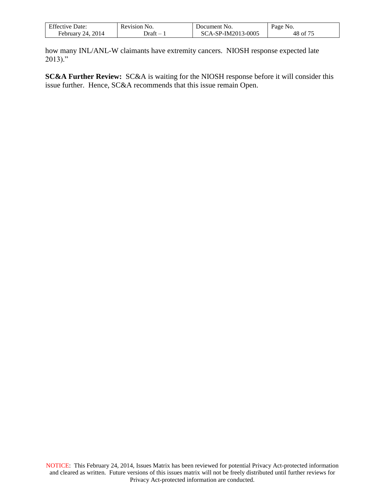| <b>Effective Date:</b>    | Revision No.                      | Document No.       | Page No.                                         |
|---------------------------|-----------------------------------|--------------------|--------------------------------------------------|
| . 2014<br>February<br>24. | ⊃raπt<br>$\overline{\phantom{0}}$ | SCA-SP-IM2013-0005 | $\cdot$ $\cdot$ $\sim$ $\sim$ $\sim$<br>48<br>0t |

how many INL/ANL-W claimants have extremity cancers. NIOSH response expected late  $2013$ ."

**SC&A Further Review:** SC&A is waiting for the NIOSH response before it will consider this issue further. Hence, SC&A recommends that this issue remain Open.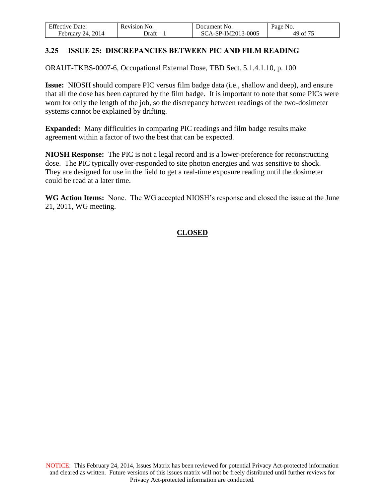| <b>Effective Date:</b>  | Revision No. | Document No.       | Page No. |
|-------------------------|--------------|--------------------|----------|
| 2014<br>February<br>24. | - Jraft      | SCA-SP-IM2013-0005 | 49 of 75 |

## **3.25 ISSUE 25: DISCREPANCIES BETWEEN PIC AND FILM READING**

ORAUT-TKBS-0007-6, Occupational External Dose, TBD Sect. 5.1.4.1.10, p. 100

**Issue:** NIOSH should compare PIC versus film badge data (i.e., shallow and deep), and ensure that all the dose has been captured by the film badge. It is important to note that some PICs were worn for only the length of the job, so the discrepancy between readings of the two-dosimeter systems cannot be explained by drifting.

**Expanded:** Many difficulties in comparing PIC readings and film badge results make agreement within a factor of two the best that can be expected.

**NIOSH Response:** The PIC is not a legal record and is a lower-preference for reconstructing dose. The PIC typically over-responded to site photon energies and was sensitive to shock. They are designed for use in the field to get a real-time exposure reading until the dosimeter could be read at a later time.

**WG Action Items:** None. The WG accepted NIOSH's response and closed the issue at the June 21, 2011, WG meeting.

# **CLOSED**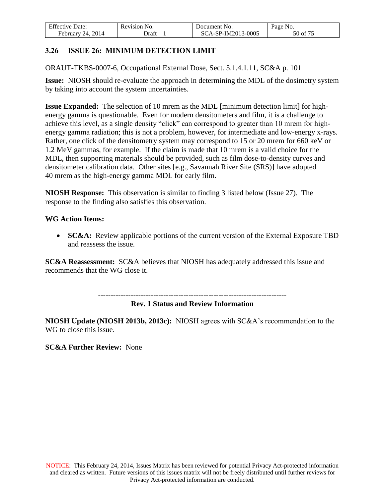| <b>Effective Date:</b>    | Revision No. | Document No.       | Page No. |
|---------------------------|--------------|--------------------|----------|
| . 2014<br>February<br>24. | ⊃raft        | SCA-SP-IM2013-0005 | 50 of 75 |

# **3.26 ISSUE 26: MINIMUM DETECTION LIMIT**

ORAUT-TKBS-0007-6, Occupational External Dose, Sect. 5.1.4.1.11, SC&A p. 101

**Issue:** NIOSH should re-evaluate the approach in determining the MDL of the dosimetry system by taking into account the system uncertainties.

**Issue Expanded:** The selection of 10 mrem as the MDL [minimum detection limit] for highenergy gamma is questionable. Even for modern densitometers and film, it is a challenge to achieve this level, as a single density "click" can correspond to greater than 10 mrem for highenergy gamma radiation; this is not a problem, however, for intermediate and low-energy x-rays. Rather, one click of the densitometry system may correspond to 15 or 20 mrem for 660 keV or 1.2 MeV gammas, for example. If the claim is made that 10 mrem is a valid choice for the MDL, then supporting materials should be provided, such as film dose-to-density curves and densitometer calibration data. Other sites [e.g., Savannah River Site (SRS)] have adopted 40 mrem as the high-energy gamma MDL for early film.

**NIOSH Response:** This observation is similar to finding 3 listed below (Issue 27). The response to the finding also satisfies this observation.

### **WG Action Items:**

 **SC&A:** Review applicable portions of the current version of the External Exposure TBD and reassess the issue.

**SC&A Reassessment:** SC&A believes that NIOSH has adequately addressed this issue and recommends that the WG close it.

---------------------------------------------------------------------------

**Rev. 1 Status and Review Information** 

**NIOSH Update (NIOSH 2013b, 2013c):** NIOSH agrees with SC&A's recommendation to the WG to close this issue.

**SC&A Further Review:** None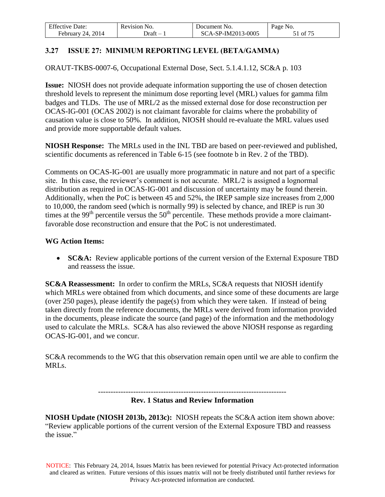| <b>Effective Date:</b>  | Revision No. | Document No.       | Page No. |
|-------------------------|--------------|--------------------|----------|
| 2014<br>February<br>24. | - Draft      | SCA-SP-IM2013-0005 | of 75    |

# **3.27 ISSUE 27: MINIMUM REPORTING LEVEL (BETA/GAMMA)**

ORAUT-TKBS-0007-6, Occupational External Dose, Sect. 5.1.4.1.12, SC&A p. 103

**Issue:** NIOSH does not provide adequate information supporting the use of chosen detection threshold levels to represent the minimum dose reporting level (MRL) values for gamma film badges and TLDs. The use of MRL/2 as the missed external dose for dose reconstruction per OCAS-IG-001 (OCAS 2002) is not claimant favorable for claims where the probability of causation value is close to 50%. In addition, NIOSH should re-evaluate the MRL values used and provide more supportable default values.

**NIOSH Response:** The MRLs used in the INL TBD are based on peer-reviewed and published, scientific documents as referenced in Table 6-15 (see footnote b in Rev. 2 of the TBD).

Comments on OCAS-IG-001 are usually more programmatic in nature and not part of a specific site. In this case, the reviewer's comment is not accurate. MRL/2 is assigned a lognormal distribution as required in OCAS-IG-001 and discussion of uncertainty may be found therein. Additionally, when the PoC is between 45 and 52%, the IREP sample size increases from 2,000 to 10,000, the random seed (which is normally 99) is selected by chance, and IREP is run 30 times at the 99<sup>th</sup> percentile versus the  $50<sup>th</sup>$  percentile. These methods provide a more claimantfavorable dose reconstruction and ensure that the PoC is not underestimated.

#### **WG Action Items:**

• **SC&A:** Review applicable portions of the current version of the External Exposure TBD and reassess the issue.

**SC&A Reassessment:** In order to confirm the MRLs, SC&A requests that NIOSH identify which MRLs were obtained from which documents, and since some of these documents are large (over 250 pages), please identify the page(s) from which they were taken. If instead of being taken directly from the reference documents, the MRLs were derived from information provided in the documents, please indicate the source (and page) of the information and the methodology used to calculate the MRLs. SC&A has also reviewed the above NIOSH response as regarding OCAS-IG-001, and we concur.

SC&A recommends to the WG that this observation remain open until we are able to confirm the MRLs.

---------------------------------------------------------------------------

### **Rev. 1 Status and Review Information**

**NIOSH Update (NIOSH 2013b, 2013c):** NIOSH repeats the SC&A action item shown above: "Review applicable portions of the current version of the External Exposure TBD and reassess the issue."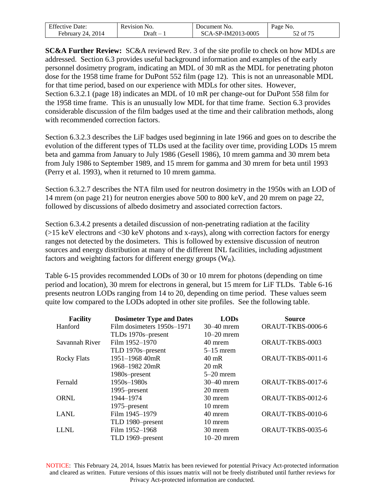| <b>Effective Date:</b>  | Revision No. | Document No.       | Page No.            |
|-------------------------|--------------|--------------------|---------------------|
| 2014<br>Februarv<br>24. | )raft –      | SCA-SP-IM2013-0005 | $\sqrt{2}$ of $7^5$ |

**SC&A Further Review:** SC&A reviewed Rev. 3 of the site profile to check on how MDLs are addressed. Section 6.3 provides useful background information and examples of the early personnel dosimetry program, indicating an MDL of 30 mR as the MDL for penetrating photon dose for the 1958 time frame for DuPont 552 film (page 12). This is not an unreasonable MDL for that time period, based on our experience with MDLs for other sites. However, Section 6.3.2.1 (page 18) indicates an MDL of 10 mR per change-out for DuPont 558 film for the 1958 time frame. This is an unusually low MDL for that time frame. Section 6.3 provides considerable discussion of the film badges used at the time and their calibration methods, along with recommended correction factors.

Section 6.3.2.3 describes the LiF badges used beginning in late 1966 and goes on to describe the evolution of the different types of TLDs used at the facility over time, providing LODs 15 mrem beta and gamma from January to July 1986 (Gesell 1986), 10 mrem gamma and 30 mrem beta from July 1986 to September 1989, and 15 mrem for gamma and 30 mrem for beta until 1993 (Perry et al. 1993), when it returned to 10 mrem gamma.

Section 6.3.2.7 describes the NTA film used for neutron dosimetry in the 1950s with an LOD of 14 mrem (on page 21) for neutron energies above 500 to 800 keV, and 20 mrem on page 22, followed by discussions of albedo dosimetry and associated correction factors.

Section 6.3.4.2 presents a detailed discussion of non-penetrating radiation at the facility (>15 keV electrons and <30 keV photons and x-rays), along with correction factors for energy ranges not detected by the dosimeters. This is followed by extensive discussion of neutron sources and energy distribution at many of the different INL facilities, including adjustment factors and weighting factors for different energy groups  $(W_R)$ .

Table 6-15 provides recommended LODs of 30 or 10 mrem for photons (depending on time period and location), 30 mrem for electrons in general, but 15 mrem for LiF TLDs. Table 6-16 presents neutron LODs ranging from 14 to 20, depending on time period. These values seem quite low compared to the LODs adopted in other site profiles. See the following table.

| <b>Facility</b>    | <b>Dosimeter Type and Dates</b> | <b>LODs</b>     | <b>Source</b>     |
|--------------------|---------------------------------|-----------------|-------------------|
| Hanford            | Film dosimeters 1950s-1971      | $30-40$ mrem    | ORAUT-TKBS-0006-6 |
|                    | TLDs 1970s-present              | $10-20$ mrem    |                   |
| Savannah River     | Film 1952-1970                  | 40 mrem         | ORAUT-TKBS-0003   |
|                    | TLD 1970s-present               | $5-15$ mrem     |                   |
| <b>Rocky Flats</b> | 1951-1968 40mR                  | 40 mR           | ORAUT-TKBS-0011-6 |
|                    | 1968–1982 20mR                  | $20 \text{ mR}$ |                   |
|                    | 1980s-present                   | $5-20$ mrem     |                   |
| Fernald            | 1950s-1980s                     | $30-40$ mrem    | ORAUT-TKBS-0017-6 |
|                    | 1995–present                    | 20 mrem         |                   |
| <b>ORNL</b>        | 1944–1974                       | 30 mrem         | ORAUT-TKBS-0012-6 |
|                    | 1975–present                    | 10 mrem         |                   |
| <b>LANL</b>        | Film 1945-1979                  | 40 mrem         | ORAUT-TKBS-0010-6 |
|                    | TLD 1980-present                | 10 mrem         |                   |
| <b>LLNL</b>        | Film 1952-1968                  | 30 mrem         | ORAUT-TKBS-0035-6 |
|                    | TLD 1969-present                | $10-20$ mrem    |                   |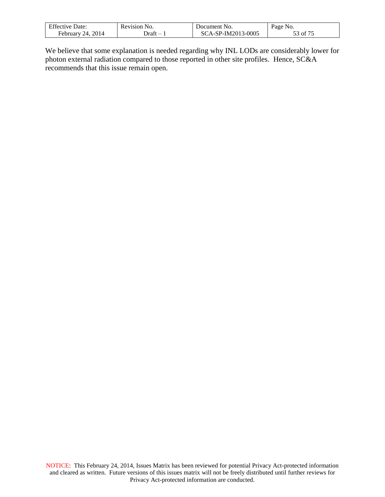| <b>Effective Date:</b>  | Revision No. | Document No.              | Page No.                           |
|-------------------------|--------------|---------------------------|------------------------------------|
| 2014<br>24.<br>February | .<br>Draft   | CA-SP-IM2013-0005<br>-80. | $\sim$ $\sim$ $\sim$ $\sim$<br>ot' |

We believe that some explanation is needed regarding why INL LODs are considerably lower for photon external radiation compared to those reported in other site profiles. Hence, SC&A recommends that this issue remain open.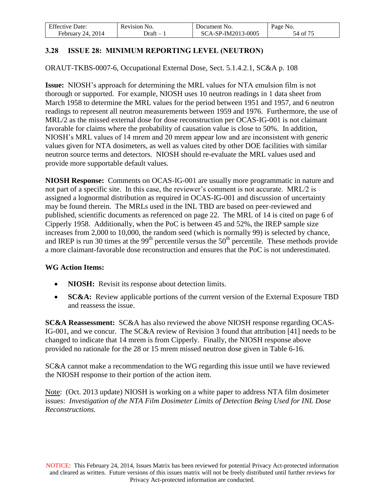| <b>Effective Date:</b>         | No.<br><b>Revision</b> | Document No.       | Page No.            |
|--------------------------------|------------------------|--------------------|---------------------|
| 2014<br><b>February</b><br>24. | - Draft                | SCA-SP-IM2013-0005 | $54$ of $7^{\circ}$ |

# **3.28 ISSUE 28: MINIMUM REPORTING LEVEL (NEUTRON)**

ORAUT-TKBS-0007-6, Occupational External Dose, Sect. 5.1.4.2.1, SC&A p. 108

**Issue:** NIOSH's approach for determining the MRL values for NTA emulsion film is not thorough or supported. For example, NIOSH uses 10 neutron readings in 1 data sheet from March 1958 to determine the MRL values for the period between 1951 and 1957, and 6 neutron readings to represent all neutron measurements between 1959 and 1976. Furthermore, the use of MRL/2 as the missed external dose for dose reconstruction per OCAS-IG-001 is not claimant favorable for claims where the probability of causation value is close to 50%. In addition, NIOSH's MRL values of 14 mrem and 20 mrem appear low and are inconsistent with generic values given for NTA dosimeters, as well as values cited by other DOE facilities with similar neutron source terms and detectors. NIOSH should re-evaluate the MRL values used and provide more supportable default values.

**NIOSH Response:** Comments on OCAS-IG-001 are usually more programmatic in nature and not part of a specific site. In this case, the reviewer's comment is not accurate. MRL/2 is assigned a lognormal distribution as required in OCAS-IG-001 and discussion of uncertainty may be found therein. The MRLs used in the INL TBD are based on peer-reviewed and published, scientific documents as referenced on page 22. The MRL of 14 is cited on page 6 of Cipperly 1958. Additionally, when the PoC is between 45 and 52%, the IREP sample size increases from 2,000 to 10,000, the random seed (which is normally 99) is selected by chance, and IREP is run 30 times at the 99<sup>th</sup> percentile versus the  $50<sup>th</sup>$  percentile. These methods provide a more claimant-favorable dose reconstruction and ensures that the PoC is not underestimated.

#### **WG Action Items:**

- **NIOSH:** Revisit its response about detection limits.
- **SC&A:** Review applicable portions of the current version of the External Exposure TBD and reassess the issue.

**SC&A Reassessment:** SC&A has also reviewed the above NIOSH response regarding OCAS-IG-001, and we concur. The SC&A review of Revision 3 found that attribution [41] needs to be changed to indicate that 14 mrem is from Cipperly. Finally, the NIOSH response above provided no rationale for the 28 or 15 mrem missed neutron dose given in Table 6-16.

SC&A cannot make a recommendation to the WG regarding this issue until we have reviewed the NIOSH response to their portion of the action item.

Note: (Oct. 2013 update) NIOSH is working on a white paper to address NTA film dosimeter issues: *Investigation of the NTA Film Dosimeter Limits of Detection Being Used for INL Dose Reconstructions.*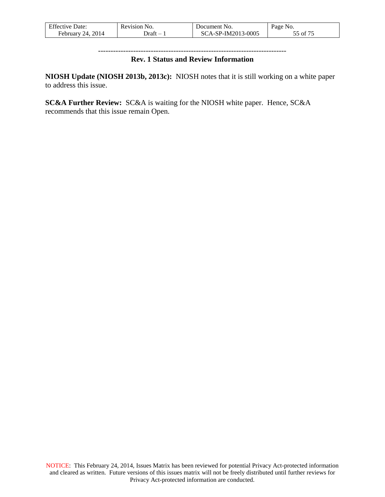| <b>Effective Date:</b> | Revision No. | Document No.       | Page No.          |
|------------------------|--------------|--------------------|-------------------|
| February 24, 2014      | - Draft      | SCA-SP-IM2013-0005 | 55 of $7^{\circ}$ |

#### --------------------------------------------------------------------------- **Rev. 1 Status and Review Information**

**NIOSH Update (NIOSH 2013b, 2013c):** NIOSH notes that it is still working on a white paper to address this issue.

**SC&A Further Review:** SC&A is waiting for the NIOSH white paper. Hence, SC&A recommends that this issue remain Open.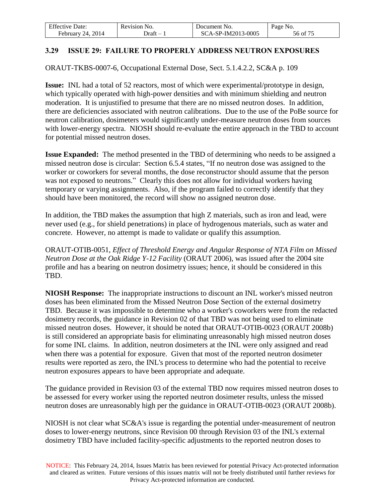| <b>Effective Date:</b> | Revision No. | Document No.       | Page No. |
|------------------------|--------------|--------------------|----------|
| 2014<br>February<br>24 | - Draft      | SCA-SP-IM2013-0005 | 56 of 75 |

## **3.29 ISSUE 29: FAILURE TO PROPERLY ADDRESS NEUTRON EXPOSURES**

ORAUT-TKBS-0007-6, Occupational External Dose, Sect. 5.1.4.2.2, SC&A p. 109

**Issue:** INL had a total of 52 reactors, most of which were experimental/prototype in design, which typically operated with high-power densities and with minimum shielding and neutron moderation. It is unjustified to presume that there are no missed neutron doses. In addition, there are deficiencies associated with neutron calibrations. Due to the use of the PoBe source for neutron calibration, dosimeters would significantly under-measure neutron doses from sources with lower-energy spectra. NIOSH should re-evaluate the entire approach in the TBD to account for potential missed neutron doses.

**Issue Expanded:** The method presented in the TBD of determining who needs to be assigned a missed neutron dose is circular: Section 6.5.4 states, "If no neutron dose was assigned to the worker or coworkers for several months, the dose reconstructor should assume that the person was not exposed to neutrons." Clearly this does not allow for individual workers having temporary or varying assignments. Also, if the program failed to correctly identify that they should have been monitored, the record will show no assigned neutron dose.

In addition, the TBD makes the assumption that high Z materials, such as iron and lead, were never used (e.g., for shield penetrations) in place of hydrogenous materials, such as water and concrete. However, no attempt is made to validate or qualify this assumption.

ORAUT-OTIB-0051, *Effect of Threshold Energy and Angular Response of NTA Film on Missed Neutron Dose at the Oak Ridge Y-12 Facility* (ORAUT 2006), was issued after the 2004 site profile and has a bearing on neutron dosimetry issues; hence, it should be considered in this TBD.

**NIOSH Response:** The inappropriate instructions to discount an INL worker's missed neutron doses has been eliminated from the Missed Neutron Dose Section of the external dosimetry TBD. Because it was impossible to determine who a worker's coworkers were from the redacted dosimetry records, the guidance in Revision 02 of that TBD was not being used to eliminate missed neutron doses. However, it should be noted that ORAUT-OTIB-0023 (ORAUT 2008b) is still considered an appropriate basis for eliminating unreasonably high missed neutron doses for some INL claims. In addition, neutron dosimeters at the INL were only assigned and read when there was a potential for exposure. Given that most of the reported neutron dosimeter results were reported as zero, the INL's process to determine who had the potential to receive neutron exposures appears to have been appropriate and adequate.

The guidance provided in Revision 03 of the external TBD now requires missed neutron doses to be assessed for every worker using the reported neutron dosimeter results, unless the missed neutron doses are unreasonably high per the guidance in ORAUT-OTIB-0023 (ORAUT 2008b).

NIOSH is not clear what SC&A's issue is regarding the potential under-measurement of neutron doses to lower-energy neutrons, since Revision 00 through Revision 03 of the INL's external dosimetry TBD have included facility-specific adjustments to the reported neutron doses to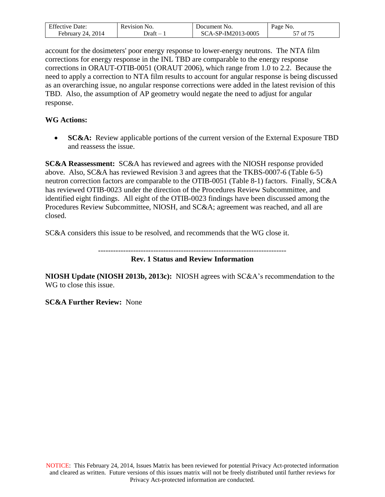| <b>Effective Date:</b>  | Revision No. | Document No.             | Page No.            |
|-------------------------|--------------|--------------------------|---------------------|
| 2014<br>24.<br>February | - Draft      | CA-SP-IM2013-0005<br>SC. | $\mathcal{C}$<br>Οİ |

account for the dosimeters' poor energy response to lower-energy neutrons. The NTA film corrections for energy response in the INL TBD are comparable to the energy response corrections in ORAUT-OTIB-0051 (ORAUT 2006), which range from 1.0 to 2.2. Because the need to apply a correction to NTA film results to account for angular response is being discussed as an overarching issue, no angular response corrections were added in the latest revision of this TBD. Also, the assumption of AP geometry would negate the need to adjust for angular response.

### **WG Actions:**

 **SC&A:** Review applicable portions of the current version of the External Exposure TBD and reassess the issue.

**SC&A Reassessment:** SC&A has reviewed and agrees with the NIOSH response provided above. Also, SC&A has reviewed Revision 3 and agrees that the TKBS-0007-6 (Table 6-5) neutron correction factors are comparable to the OTIB-0051 (Table 8-1) factors. Finally, SC&A has reviewed OTIB-0023 under the direction of the Procedures Review Subcommittee, and identified eight findings. All eight of the OTIB-0023 findings have been discussed among the Procedures Review Subcommittee, NIOSH, and SC&A; agreement was reached, and all are closed.

SC&A considers this issue to be resolved, and recommends that the WG close it.

--------------------------------------------------------------------------- **Rev. 1 Status and Review Information**

**NIOSH Update (NIOSH 2013b, 2013c):** NIOSH agrees with SC&A's recommendation to the WG to close this issue.

**SC&A Further Review:** None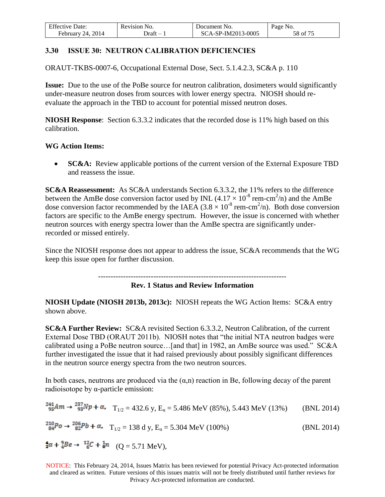| <b>Effective Date:</b>  | Revision No. | Document No.       | Page No. |
|-------------------------|--------------|--------------------|----------|
| 2014<br>February<br>24. | - Draft      | SCA-SP-IM2013-0005 | 58 of 75 |

## **3.30 ISSUE 30: NEUTRON CALIBRATION DEFICIENCIES**

ORAUT-TKBS-0007-6, Occupational External Dose, Sect. 5.1.4.2.3, SC&A p. 110

**Issue:** Due to the use of the PoBe source for neutron calibration, dosimeters would significantly under-measure neutron doses from sources with lower energy spectra. NIOSH should reevaluate the approach in the TBD to account for potential missed neutron doses.

**NIOSH Response**: Section 6.3.3.2 indicates that the recorded dose is 11% high based on this calibration.

### **WG Action Items:**

**SC&A:** Review applicable portions of the current version of the External Exposure TBD and reassess the issue.

**SC&A Reassessment:** As SC&A understands Section 6.3.3.2, the 11% refers to the difference between the AmBe dose conversion factor used by INL  $(4.17 \times 10^{-8}$  rem-cm<sup>2</sup>/n) and the AmBe dose conversion factor recommended by the IAEA  $(3.8 \times 10^{-8}$  rem-cm<sup>2</sup>/n). Both dose conversion factors are specific to the AmBe energy spectrum. However, the issue is concerned with whether neutron sources with energy spectra lower than the AmBe spectra are significantly underrecorded or missed entirely.

Since the NIOSH response does not appear to address the issue, SC&A recommends that the WG keep this issue open for further discussion.

---------------------------------------------------------------------------

**Rev. 1 Status and Review Information**

**NIOSH Update (NIOSH 2013b, 2013c):** NIOSH repeats the WG Action Items: SC&A entry shown above.

**SC&A Further Review:** SC&A revisited Section 6.3.3.2, Neutron Calibration, of the current External Dose TBD (ORAUT 2011b). NIOSH notes that "the initial NTA neutron badges were calibrated using a PoBe neutron source…[and that] in 1982, an AmBe source was used." SC&A further investigated the issue that it had raised previously about possibly significant differences in the neutron source energy spectra from the two neutron sources.

In both cases, neutrons are produced via the  $(\alpha, n)$  reaction in Be, following decay of the parent radioisotope by α-particle emission:

$$
{}^{241}_{95}Am \rightarrow {}^{237}_{93}Np + \alpha, \quad T_{1/2} = 432.6 \text{ y}, E_{\alpha} = 5.486 \text{ MeV (85%), } 5.443 \text{ MeV (13%)} \qquad \text{(BNL 2014)}
$$
\n
$$
{}^{210}_{84}Po \rightarrow {}^{206}_{82}Pb + \alpha, \quad T_{1/2} = 138 \text{ d y}, E_{\alpha} = 5.304 \text{ MeV (100%)} \qquad \text{(BNL 2014)}
$$
\n
$$
{}^{\bullet}_{2}\alpha + {}^9_{4}Be \rightarrow {}^{12}_{6}C + {}^{\bullet}_{6}n \quad (Q = 5.71 \text{ MeV}),
$$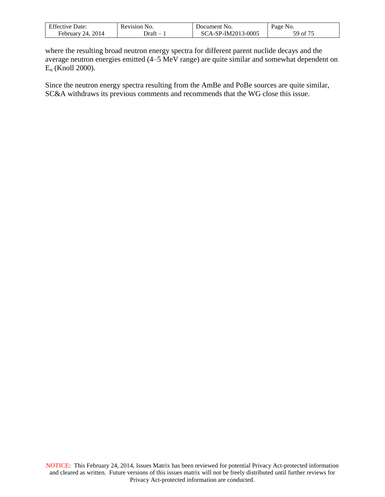| <b>Effective Date:</b>  | Revision No.                           | Document No.              | Page No.       |
|-------------------------|----------------------------------------|---------------------------|----------------|
| 2014<br>24.<br>February | .<br>Draft<br>$\overline{\phantom{0}}$ | CA-SP-IM2013-0005<br>-80. | of 75 ر<br>٦Ω. |

where the resulting broad neutron energy spectra for different parent nuclide decays and the average neutron energies emitted (4–5 MeV range) are quite similar and somewhat dependent on  $E_{\alpha}$  (Knoll 2000).

Since the neutron energy spectra resulting from the AmBe and PoBe sources are quite similar, SC&A withdraws its previous comments and recommends that the WG close this issue.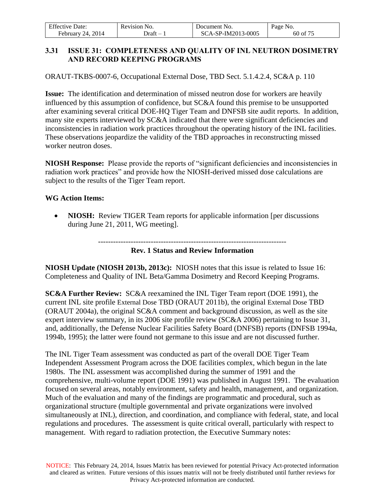| <b>Effective Date:</b> | Revision No. | Document No.       | Page No. |
|------------------------|--------------|--------------------|----------|
| February 24, 2014      | )raft –      | SCA-SP-IM2013-0005 | 60 of 75 |

## **3.31 ISSUE 31: COMPLETENESS AND QUALITY OF INL NEUTRON DOSIMETRY AND RECORD KEEPING PROGRAMS**

ORAUT-TKBS-0007-6, Occupational External Dose, TBD Sect. 5.1.4.2.4, SC&A p. 110

**Issue:** The identification and determination of missed neutron dose for workers are heavily influenced by this assumption of confidence, but SC&A found this premise to be unsupported after examining several critical DOE-HQ Tiger Team and DNFSB site audit reports. In addition, many site experts interviewed by SC&A indicated that there were significant deficiencies and inconsistencies in radiation work practices throughout the operating history of the INL facilities. These observations jeopardize the validity of the TBD approaches in reconstructing missed worker neutron doses.

**NIOSH Response:** Please provide the reports of "significant deficiencies and inconsistencies in radiation work practices" and provide how the NIOSH-derived missed dose calculations are subject to the results of the Tiger Team report.

## **WG Action Items:**

• **NIOSH:** Review TIGER Team reports for applicable information [per discussions during June 21, 2011, WG meeting].

---------------------------------------------------------------------------

### **Rev. 1 Status and Review Information**

**NIOSH Update (NIOSH 2013b, 2013c):** NIOSH notes that this issue is related to Issue 16: Completeness and Quality of INL Beta/Gamma Dosimetry and Record Keeping Programs.

**SC&A Further Review:** SC&A reexamined the INL Tiger Team report (DOE 1991), the current INL site profile External Dose TBD (ORAUT 2011b), the original External Dose TBD (ORAUT 2004a), the original SC&A comment and background discussion, as well as the site expert interview summary, in its 2006 site profile review (SC&A 2006) pertaining to Issue 31, and, additionally, the Defense Nuclear Facilities Safety Board (DNFSB) reports (DNFSB 1994a, 1994b, 1995); the latter were found not germane to this issue and are not discussed further.

The INL Tiger Team assessment was conducted as part of the overall DOE Tiger Team Independent Assessment Program across the DOE facilities complex, which begun in the late 1980s. The INL assessment was accomplished during the summer of 1991 and the comprehensive, multi-volume report (DOE 1991) was published in August 1991. The evaluation focused on several areas, notably environment, safety and health, management, and organization. Much of the evaluation and many of the findings are programmatic and procedural, such as organizational structure (multiple governmental and private organizations were involved simultaneously at INL), direction, and coordination, and compliance with federal, state, and local regulations and procedures. The assessment is quite critical overall, particularly with respect to management. With regard to radiation protection, the Executive Summary notes: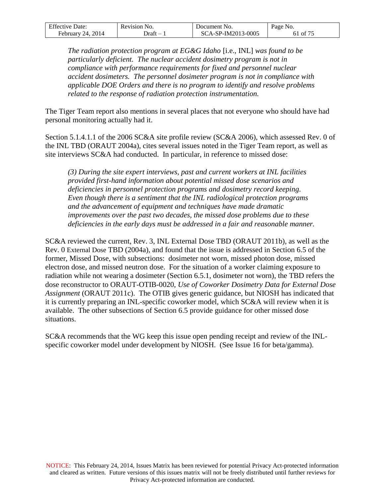| <b>Effective Date:</b>            | Revision No. | Document No.       | Page No.   |
|-----------------------------------|--------------|--------------------|------------|
| 24, 2014<br>February <sup>1</sup> | - Draft      | SCA-SP-IM2013-0005 | 61 of $7r$ |

*The radiation protection program at EG&G Idaho* [i.e., INL] *was found to be particularly deficient. The nuclear accident dosimetry program is not in compliance with performance requirements for fixed and personnel nuclear accident dosimeters. The personnel dosimeter program is not in compliance with applicable DOE Orders and there is no program to identify and resolve problems related to the response of radiation protection instrumentation.*

The Tiger Team report also mentions in several places that not everyone who should have had personal monitoring actually had it.

Section 5.1.4.1.1 of the 2006 SC&A site profile review (SC&A 2006), which assessed Rev. 0 of the INL TBD (ORAUT 2004a), cites several issues noted in the Tiger Team report, as well as site interviews SC&A had conducted. In particular, in reference to missed dose:

*(3) During the site expert interviews, past and current workers at INL facilities provided first-hand information about potential missed dose scenarios and deficiencies in personnel protection programs and dosimetry record keeping. Even though there is a sentiment that the INL radiological protection programs and the advancement of equipment and techniques have made dramatic improvements over the past two decades, the missed dose problems due to these deficiencies in the early days must be addressed in a fair and reasonable manner.* 

SC&A reviewed the current, Rev. 3, INL External Dose TBD (ORAUT 2011b), as well as the Rev. 0 External Dose TBD (2004a), and found that the issue is addressed in Section 6.5 of the former, Missed Dose, with subsections: dosimeter not worn, missed photon dose, missed electron dose, and missed neutron dose. For the situation of a worker claiming exposure to radiation while not wearing a dosimeter (Section 6.5.1, dosimeter not worn), the TBD refers the dose reconstructor to ORAUT-OTIB-0020, *Use of Coworker Dosimetry Data for External Dose Assignment* (ORAUT 2011c). The OTIB gives generic guidance, but NIOSH has indicated that it is currently preparing an INL-specific coworker model, which SC&A will review when it is available. The other subsections of Section 6.5 provide guidance for other missed dose situations.

SC&A recommends that the WG keep this issue open pending receipt and review of the INLspecific coworker model under development by NIOSH. (See Issue 16 for beta/gamma).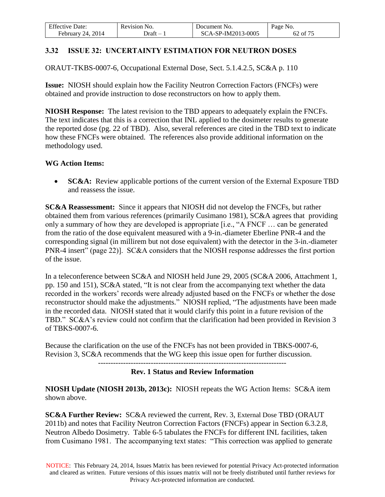| $F^{c}$<br>⊅ate:<br>Effective | Revision<br>NO.                   | 'Jocument No.         | Page<br>NO.               |
|-------------------------------|-----------------------------------|-----------------------|---------------------------|
| 2014<br>Februarv<br>74        | Jraft<br>$\overline{\phantom{a}}$ | 2-IM2013-0005<br>A.SP | $\sim$ $ -$<br>- OI<br>υ∠ |

## **3.32 ISSUE 32: UNCERTAINTY ESTIMATION FOR NEUTRON DOSES**

ORAUT-TKBS-0007-6, Occupational External Dose, Sect. 5.1.4.2.5, SC&A p. 110

**Issue:** NIOSH should explain how the Facility Neutron Correction Factors (FNCFs) were obtained and provide instruction to dose reconstructors on how to apply them.

**NIOSH Response:** The latest revision to the TBD appears to adequately explain the FNCFs. The text indicates that this is a correction that INL applied to the dosimeter results to generate the reported dose (pg. 22 of TBD). Also, several references are cited in the TBD text to indicate how these FNCFs were obtained. The references also provide additional information on the methodology used.

### **WG Action Items:**

**SC&A:** Review applicable portions of the current version of the External Exposure TBD and reassess the issue.

**SC&A Reassessment:** Since it appears that NIOSH did not develop the FNCFs, but rather obtained them from various references (primarily Cusimano 1981), SC&A agrees that providing only a summary of how they are developed is appropriate [i.e., "A FNCF … can be generated from the ratio of the dose equivalent measured with a 9-in.-diameter Eberline PNR-4 and the corresponding signal (in millirem but not dose equivalent) with the detector in the 3-in.-diameter PNR-4 insert" (page 22)]. SC&A considers that the NIOSH response addresses the first portion of the issue.

In a teleconference between SC&A and NIOSH held June 29, 2005 (SC&A 2006, Attachment 1, pp. 150 and 151), SC&A stated, "It is not clear from the accompanying text whether the data recorded in the workers' records were already adjusted based on the FNCFs or whether the dose reconstructor should make the adjustments." NIOSH replied, "The adjustments have been made in the recorded data. NIOSH stated that it would clarify this point in a future revision of the TBD." SC&A's review could not confirm that the clarification had been provided in Revision 3 of TBKS-0007-6.

Because the clarification on the use of the FNCFs has not been provided in TBKS-0007-6, Revision 3, SC&A recommends that the WG keep this issue open for further discussion.

#### --------------------------------------------------------------------------- **Rev. 1 Status and Review Information**

**NIOSH Update (NIOSH 2013b, 2013c):** NIOSH repeats the WG Action Items: SC&A item shown above.

**SC&A Further Review:** SC&A reviewed the current, Rev. 3, External Dose TBD (ORAUT 2011b) and notes that Facility Neutron Correction Factors (FNCFs) appear in Section 6.3.2.8, Neutron Albedo Dosimetry. Table 6-5 tabulates the FNCFs for different INL facilities, taken from Cusimano 1981. The accompanying text states: "This correction was applied to generate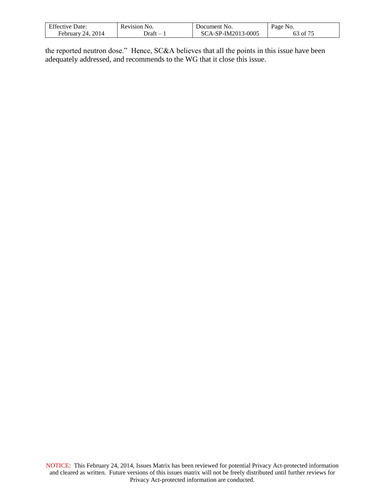| <b>Effective Date:</b>    | Revision No. | Document No.             | Page No.                                                 |
|---------------------------|--------------|--------------------------|----------------------------------------------------------|
| . 2014<br>February<br>24. | - Draft      | CA-SP-IM2013-0005<br>SC. | $\cdot$ $\cdot$ $\sigma$ $\sigma$ $\sigma$<br>' of<br>ο3 |

the reported neutron dose." Hence, SC&A believes that all the points in this issue have been adequately addressed, and recommends to the WG that it close this issue.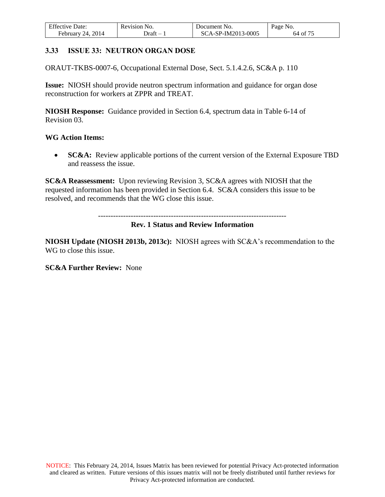| <b>Effective Date:</b> | Revision No. | Document No.       | Page No. |
|------------------------|--------------|--------------------|----------|
| February 24, $2014$    | )raft –      | SCA-SP-IM2013-0005 | 64 of 75 |

### **3.33 ISSUE 33: NEUTRON ORGAN DOSE**

ORAUT-TKBS-0007-6, Occupational External Dose, Sect. 5.1.4.2.6, SC&A p. 110

**Issue:** NIOSH should provide neutron spectrum information and guidance for organ dose reconstruction for workers at ZPPR and TREAT.

**NIOSH Response:** Guidance provided in Section 6.4, spectrum data in Table 6-14 of Revision 03.

#### **WG Action Items:**

• **SC&A:** Review applicable portions of the current version of the External Exposure TBD and reassess the issue.

**SC&A Reassessment:** Upon reviewing Revision 3, SC&A agrees with NIOSH that the requested information has been provided in Section 6.4. SC&A considers this issue to be resolved, and recommends that the WG close this issue.

---------------------------------------------------------------------------

#### **Rev. 1 Status and Review Information**

**NIOSH Update (NIOSH 2013b, 2013c):** NIOSH agrees with SC&A's recommendation to the WG to close this issue.

#### **SC&A Further Review:** None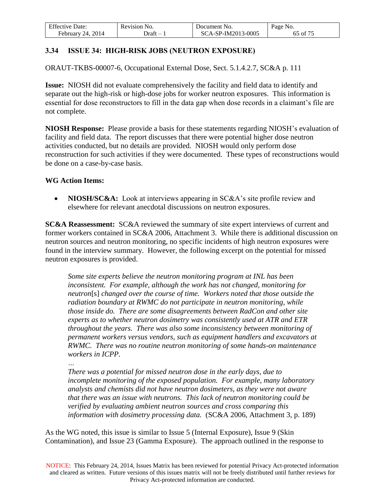| <b>Effective Date:</b>  | Revision No. | Document No.       | Page No. |
|-------------------------|--------------|--------------------|----------|
| 2014<br>February<br>24. | - Draft      | SCA-SP-IM2013-0005 | 65 of 75 |

# **3.34 ISSUE 34: HIGH-RISK JOBS (NEUTRON EXPOSURE)**

ORAUT-TKBS-00007-6, Occupational External Dose, Sect. 5.1.4.2.7, SC&A p. 111

**Issue:** NIOSH did not evaluate comprehensively the facility and field data to identify and separate out the high-risk or high-dose jobs for worker neutron exposures. This information is essential for dose reconstructors to fill in the data gap when dose records in a claimant's file are not complete.

**NIOSH Response:** Please provide a basis for these statements regarding NIOSH's evaluation of facility and field data. The report discusses that there were potential higher dose neutron activities conducted, but no details are provided. NIOSH would only perform dose reconstruction for such activities if they were documented. These types of reconstructions would be done on a case-by-case basis.

#### **WG Action Items:**

• **NIOSH/SC&A:** Look at interviews appearing in SC&A's site profile review and elsewhere for relevant anecdotal discussions on neutron exposures.

**SC&A Reassessment:** SC&A reviewed the summary of site expert interviews of current and former workers contained in SC&A 2006, Attachment 3. While there is additional discussion on neutron sources and neutron monitoring, no specific incidents of high neutron exposures were found in the interview summary. However, the following excerpt on the potential for missed neutron exposures is provided.

*Some site experts believe the neutron monitoring program at INL has been inconsistent. For example, although the work has not changed, monitoring for neutron*[s] *changed over the course of time. Workers noted that those outside the radiation boundary at RWMC do not participate in neutron monitoring, while those inside do. There are some disagreements between RadCon and other site experts as to whether neutron dosimetry was consistently used at ATR and ETR throughout the years. There was also some inconsistency between monitoring of permanent workers versus vendors, such as equipment handlers and excavators at RWMC. There was no routine neutron monitoring of some hands-on maintenance workers in ICPP.*

*…*

*There was a potential for missed neutron dose in the early days, due to incomplete monitoring of the exposed population. For example, many laboratory analysts and chemists did not have neutron dosimeters, as they were not aware that there was an issue with neutrons. This lack of neutron monitoring could be verified by evaluating ambient neutron sources and cross comparing this information with dosimetry processing data.* (SC&A 2006, Attachment 3, p. 189)

As the WG noted, this issue is similar to Issue 5 (Internal Exposure), Issue 9 (Skin Contamination), and Issue 23 (Gamma Exposure). The approach outlined in the response to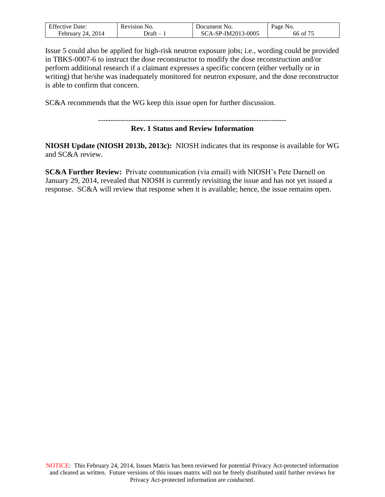| $F^{\alpha}$<br>Jate <sup>.</sup><br>Effective | Kevision<br>NO. | NO.<br>Jocument               | Page<br>NO.             |
|------------------------------------------------|-----------------|-------------------------------|-------------------------|
| 2014<br>$\mathcal{L}$<br><b>February</b>       | Jraft           | 3-0005<br>$\text{-SP-IM}2013$ | $\sim$ $ -$<br>ОI<br>ხხ |

Issue 5 could also be applied for high-risk neutron exposure jobs; i.e., wording could be provided in TBKS-0007-6 to instruct the dose reconstructor to modify the dose reconstruction and/or perform additional research if a claimant expresses a specific concern (either verbally or in writing) that he/she was inadequately monitored for neutron exposure, and the dose reconstructor is able to confirm that concern.

SC&A recommends that the WG keep this issue open for further discussion.

#### ---------------------------------------------------------------------------

### **Rev. 1 Status and Review Information**

**NIOSH Update (NIOSH 2013b, 2013c):** NIOSH indicates that its response is available for WG and SC&A review.

**SC&A Further Review:** Private communication (via email) with NIOSH's Pete Darnell on January 29, 2014, revealed that NIOSH is currently revisiting the issue and has not yet issued a response. SC&A will review that response when it is available; hence, the issue remains open.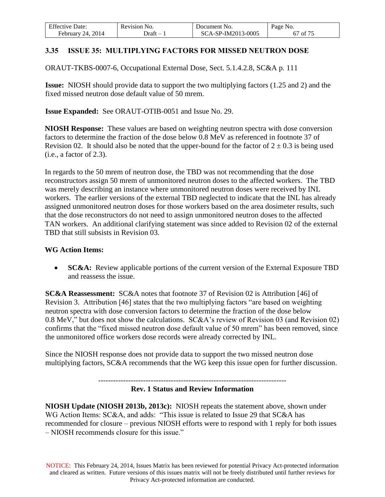| <b>Effective Date:</b>  | Revision No. | Document No.       | Page No.              |
|-------------------------|--------------|--------------------|-----------------------|
| 2014<br>February<br>24. | - Draft      | SCA-SP-IM2013-0005 | of 75<br><sub>0</sub> |

# **3.35 ISSUE 35: MULTIPLYING FACTORS FOR MISSED NEUTRON DOSE**

ORAUT-TKBS-0007-6, Occupational External Dose, Sect. 5.1.4.2.8, SC&A p. 111

**Issue:** NIOSH should provide data to support the two multiplying factors (1.25 and 2) and the fixed missed neutron dose default value of 50 mrem.

**Issue Expanded:** See ORAUT-OTIB-0051 and Issue No. 29.

**NIOSH Response:** These values are based on weighting neutron spectra with dose conversion factors to determine the fraction of the dose below 0.8 MeV as referenced in footnote 37 of Revision 02. It should also be noted that the upper-bound for the factor of  $2 \pm 0.3$  is being used  $(i.e., a factor of 2.3).$ 

In regards to the 50 mrem of neutron dose, the TBD was not recommending that the dose reconstructors assign 50 mrem of unmonitored neutron doses to the affected workers. The TBD was merely describing an instance where unmonitored neutron doses were received by INL workers. The earlier versions of the external TBD neglected to indicate that the INL has already assigned unmonitored neutron doses for those workers based on the area dosimeter results, such that the dose reconstructors do not need to assign unmonitored neutron doses to the affected TAN workers. An additional clarifying statement was since added to Revision 02 of the external TBD that still subsists in Revision 03.

### **WG Action Items:**

• **SC&A:** Review applicable portions of the current version of the External Exposure TBD and reassess the issue.

**SC&A Reassessment:** SC&A notes that footnote 37 of Revision 02 is Attribution [46] of Revision 3. Attribution [46] states that the two multiplying factors "are based on weighting neutron spectra with dose conversion factors to determine the fraction of the dose below 0.8 MeV," but does not show the calculations. SC&A's review of Revision 03 (and Revision 02) confirms that the "fixed missed neutron dose default value of 50 mrem" has been removed, since the unmonitored office workers dose records were already corrected by INL.

Since the NIOSH response does not provide data to support the two missed neutron dose multiplying factors, SC&A recommends that the WG keep this issue open for further discussion.

---------------------------------------------------------------------------

#### **Rev. 1 Status and Review Information**

**NIOSH Update (NIOSH 2013b, 2013c):** NIOSH repeats the statement above, shown under WG Action Items: SC&A, and adds: "This issue is related to Issue 29 that SC&A has recommended for closure – previous NIOSH efforts were to respond with 1 reply for both issues – NIOSH recommends closure for this issue."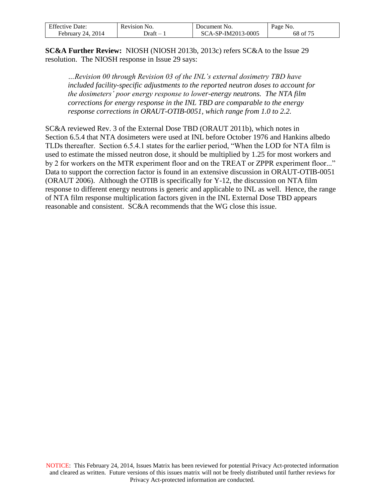| <b>Effective Date:</b> | Revision No. | Document No.       | Page No. |
|------------------------|--------------|--------------------|----------|
| February 24, $2014$    | )raft –      | SCA-SP-IM2013-0005 | 68 of 75 |

**SC&A Further Review:** NIOSH (NIOSH 2013b, 2013c) refers SC&A to the Issue 29 resolution. The NIOSH response in Issue 29 says:

*…Revision 00 through Revision 03 of the INL's external dosimetry TBD have included facility-specific adjustments to the reported neutron doses to account for the dosimeters' poor energy response to lower-energy neutrons. The NTA film corrections for energy response in the INL TBD are comparable to the energy response corrections in ORAUT-OTIB-0051, which range from 1.0 to 2.2.*

SC&A reviewed Rev. 3 of the External Dose TBD (ORAUT 2011b), which notes in Section 6.5.4 that NTA dosimeters were used at INL before October 1976 and Hankins albedo TLDs thereafter. Section 6.5.4.1 states for the earlier period, "When the LOD for NTA film is used to estimate the missed neutron dose, it should be multiplied by 1.25 for most workers and by 2 for workers on the MTR experiment floor and on the TREAT or ZPPR experiment floor..." Data to support the correction factor is found in an extensive discussion in ORAUT-OTIB-0051 (ORAUT 2006). Although the OTIB is specifically for Y-12, the discussion on NTA film response to different energy neutrons is generic and applicable to INL as well. Hence, the range of NTA film response multiplication factors given in the INL External Dose TBD appears reasonable and consistent. SC&A recommends that the WG close this issue.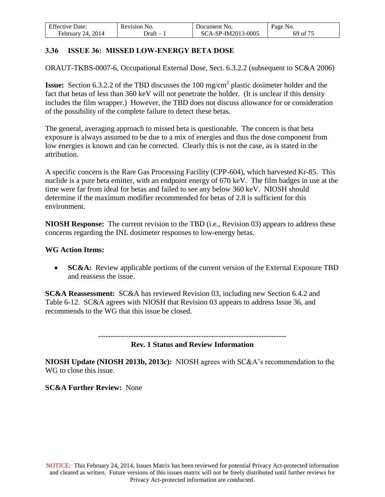| <b>Effective Date:</b> | Revision No. | Document No.       | Page No. |
|------------------------|--------------|--------------------|----------|
| February 24, 2014      | - Draft      | SCA-SP-IM2013-0005 | 69 of 75 |

## **3.36 ISSUE 36: MISSED LOW-ENERGY BETA DOSE**

ORAUT-TKBS-0007-6, Occupational External Dose, Sect. 6.3.2.2 (subsequent to SC&A 2006)

**Issue:** Section 6.3.2.2 of the TBD discusses the 100 mg/cm<sup>2</sup> plastic dosimeter holder and the fact that betas of less than 360 keV will not penetrate the holder. (It is unclear if this density includes the film wrapper.) However, the TBD does not discuss allowance for or consideration of the possibility of the complete failure to detect these betas.

The general, averaging approach to missed beta is questionable. The concern is that beta exposure is always assumed to be due to a mix of energies and thus the dose component from low energies is known and can be corrected. Clearly this is not the case, as is stated in the attribution.

A specific concern is the Rare Gas Processing Facility (CPP-604), which harvested Kr-85. This nuclide is a pure beta emitter, with an endpoint energy of 670 keV. The film badges in use at the time were far from ideal for betas and failed to see any below 360 keV. NIOSH should determine if the maximum modifier recommended for betas of 2.8 is sufficient for this environment.

**NIOSH Response:** The current revision to the TBD (i.e., Revision 03) appears to address these concerns regarding the INL dosimeter responses to low-energy betas.

#### **WG Action Items:**

• **SC&A:** Review applicable portions of the current version of the External Exposure TBD and reassess the issue.

**SC&A Reassessment:** SC&A has reviewed Revision 03, including new Section 6.4.2 and Table 6-12. SC&A agrees with NIOSH that Revision 03 appears to address Issue 36, and recommends to the WG that this issue be closed.

### **Rev. 1 Status and Review Information**

**NIOSH Update (NIOSH 2013b, 2013c):** NIOSH agrees with SC&A's recommendation to the WG to close this issue.

## **SC&A Further Review:** None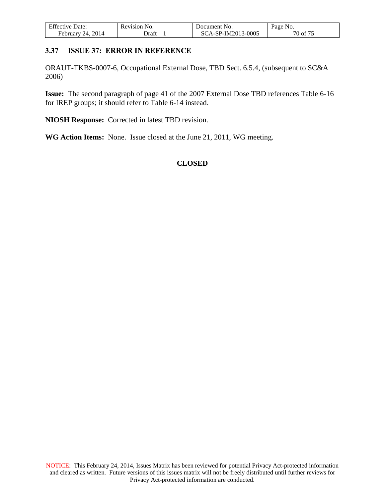| <b>Effective Date:</b> | Revision No. | Document No.       | Page No. |
|------------------------|--------------|--------------------|----------|
| February 24, 2014      | )raft –      | SCA-SP-IM2013-0005 | 70 of 75 |

### **3.37 ISSUE 37: ERROR IN REFERENCE**

ORAUT-TKBS-0007-6, Occupational External Dose, TBD Sect. 6.5.4, (subsequent to SC&A 2006)

**Issue:** The second paragraph of page 41 of the 2007 External Dose TBD references Table 6-16 for IREP groups; it should refer to Table 6-14 instead.

**NIOSH Response:** Corrected in latest TBD revision.

**WG Action Items:** None. Issue closed at the June 21, 2011, WG meeting.

## **CLOSED**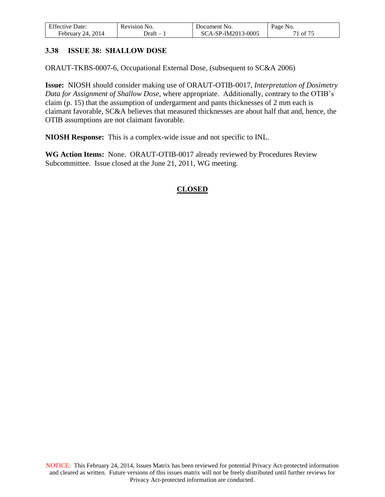| <b>Effective Date:</b>  | Revision No. | Document No.       | Page No. |
|-------------------------|--------------|--------------------|----------|
| 2014<br>February<br>24. | - Draft      | SCA-SP-IM2013-0005 | 71 of 75 |

## **3.38 ISSUE 38: SHALLOW DOSE**

ORAUT-TKBS-0007-6, Occupational External Dose, (subsequent to SC&A 2006)

**Issue:** NIOSH should consider making use of ORAUT-OTIB-0017, *Interpretation of Dosimetry Data for Assignment of Shallow Dose*, where appropriate. Additionally, contrary to the OTIB's claim (p. 15) that the assumption of undergarment and pants thicknesses of 2 mm each is claimant favorable, SC&A believes that measured thicknesses are about half that and, hence, the OTIB assumptions are not claimant favorable.

**NIOSH Response:** This is a complex-wide issue and not specific to INL.

**WG Action Items:** None. ORAUT-OTIB-0017 already reviewed by Procedures Review Subcommittee. Issue closed at the June 21, 2011, WG meeting.

# **CLOSED**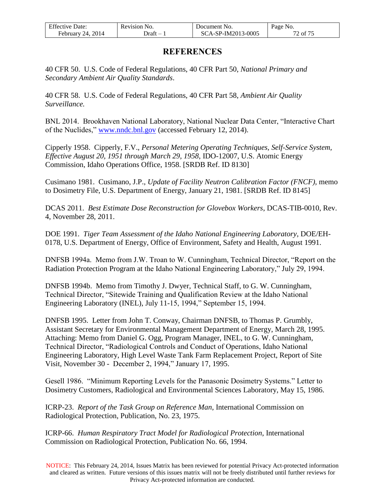| <b>Effective Date:</b> | Revision No. | Document No.       | Page No. |
|------------------------|--------------|--------------------|----------|
| February 24, 2014      | - Draft      | SCA-SP-IM2013-0005 | 72 of 75 |

# **REFERENCES**

40 CFR 50. U.S. Code of Federal Regulations, 40 CFR Part 50, *National Primary and Secondary Ambient Air Quality Standards*.

40 CFR 58. U.S. Code of Federal Regulations, 40 CFR Part 58, *Ambient Air Quality Surveillance.*

BNL 2014. Brookhaven National Laboratory, National Nuclear Data Center, "Interactive Chart of the Nuclides," [www.nndc.bnl.gov](http://www.nndc.bnl.gov/) (accessed February 12, 2014).

Cipperly 1958. Cipperly, F.V., *Personal Metering Operating Techniques, Self-Service System, Effective August 20, 1951 through March 29, 1958*, IDO-12007, U.S. Atomic Energy Commission, Idaho Operations Office, 1958. [SRDB Ref. ID 8130]

Cusimano 1981. Cusimano, J.P., *Update of Facility Neutron Calibration Factor (FNCF),* memo to Dosimetry File, U.S. Department of Energy, January 21, 1981. [SRDB Ref. ID 8145]

DCAS 2011. *Best Estimate Dose Reconstruction for Glovebox Workers*, DCAS-TIB-0010, Rev. 4, November 28, 2011.

DOE 1991. *Tiger Team Assessment of the Idaho National Engineering Laboratory*, DOE/EH-0178, U.S. Department of Energy, Office of Environment, Safety and Health, August 1991.

DNFSB 1994a. Memo from J.W. Troan to W. Cunningham, Technical Director, "Report on the Radiation Protection Program at the Idaho National Engineering Laboratory," July 29, 1994.

DNFSB 1994b. Memo from Timothy J. Dwyer, Technical Staff, to G. W. Cunningham, Technical Director, "Sitewide Training and Qualification Review at the Idaho National Engineering Laboratory (INEL), July 11-15, 1994," September 15, 1994.

DNFSB 1995. Letter from John T. Conway, Chairman DNFSB, to Thomas P. Grumbly, Assistant Secretary for Environmental Management Department of Energy, March 28, 1995. Attaching: Memo from Daniel G. Ogg, Program Manager, INEL, to G. W. Cunningham, Technical Director, "Radiological Controls and Conduct of Operations, Idaho National Engineering Laboratory, High Level Waste Tank Farm Replacement Project, Report of Site Visit, November 30 - December 2, 1994," January 17, 1995.

Gesell 1986. "Minimum Reporting Levels for the Panasonic Dosimetry Systems." Letter to Dosimetry Customers, Radiological and Environmental Sciences Laboratory, May 15, 1986.

ICRP-23. *Report of the Task Group on Reference Man*, International Commission on Radiological Protection, Publication, No. 23, 1975.

ICRP-66. *Human Respiratory Tract Model for Radiological Protection*, International Commission on Radiological Protection, Publication No. 66, 1994.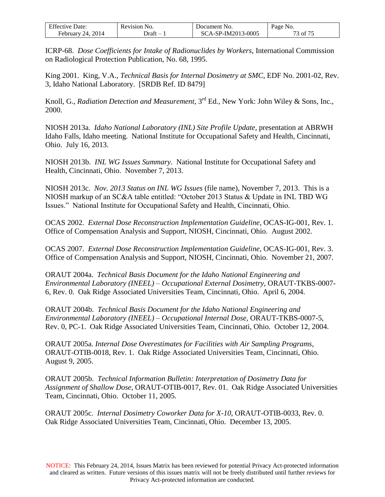| <b>Effective Date:</b> | Revision No. | Document No.       | Page No. |
|------------------------|--------------|--------------------|----------|
| February 24, $2014$    | - )raft      | SCA-SP-IM2013-0005 | 73 of 75 |

ICRP-68. *Dose Coefficients for Intake of Radionuclides by Workers*, International Commission on Radiological Protection Publication, No. 68, 1995.

King 2001. King, V.A., *Technical Basis for Internal Dosimetry at SMC*, EDF No. 2001-02, Rev. 3, Idaho National Laboratory. [SRDB Ref. ID 8479]

Knoll, G., *Radiation Detection and Measurement*, 3rd Ed., New York: John Wiley & Sons, Inc., 2000.

NIOSH 2013a. *Idaho National Laboratory (INL) Site Profile Update*, presentation at ABRWH Idaho Falls, Idaho meeting. National Institute for Occupational Safety and Health, Cincinnati, Ohio. July 16, 2013.

NIOSH 2013b. *INL WG Issues Summary*. National Institute for Occupational Safety and Health, Cincinnati, Ohio. November 7, 2013.

NIOSH 2013c. *Nov. 2013 Status on INL WG Issues* (file name), November 7, 2013. This is a NIOSH markup of an SC&A table entitled: "October 2013 Status & Update in INL TBD WG Issues." National Institute for Occupational Safety and Health, Cincinnati, Ohio.

OCAS 2002. *External Dose Reconstruction Implementation Guideline*, OCAS-IG-001, Rev. 1. Office of Compensation Analysis and Support, NIOSH, Cincinnati, Ohio. August 2002.

OCAS 2007. *External Dose Reconstruction Implementation Guideline*, OCAS-IG-001, Rev. 3. Office of Compensation Analysis and Support, NIOSH, Cincinnati, Ohio. November 21, 2007.

ORAUT 2004a. *Technical Basis Document for the Idaho National Engineering and Environmental Laboratory (INEEL) – Occupational External Dosimetry*, ORAUT-TKBS-0007- 6, Rev. 0. Oak Ridge Associated Universities Team, Cincinnati, Ohio. April 6, 2004.

ORAUT 2004b. *Technical Basis Document for the Idaho National Engineering and Environmental Laboratory (INEEL) – Occupational Internal Dose*, ORAUT-TKBS-0007-5, Rev. 0, PC-1. Oak Ridge Associated Universities Team, Cincinnati, Ohio. October 12, 2004.

ORAUT 2005a. *Internal Dose Overestimates for Facilities with Air Sampling Programs*, ORAUT-OTIB-0018, Rev. 1. Oak Ridge Associated Universities Team, Cincinnati, Ohio. August 9, 2005.

ORAUT 2005b. *Technical Information Bulletin: Interpretation of Dosimetry Data for Assignment of Shallow Dose*, ORAUT-OTIB-0017, Rev. 01. Oak Ridge Associated Universities Team, Cincinnati, Ohio. October 11, 2005.

ORAUT 2005c. *Internal Dosimetry Coworker Data for X-10*, ORAUT-OTIB-0033, Rev. 0. Oak Ridge Associated Universities Team, Cincinnati, Ohio. December 13, 2005.

NOTICE: This February 24, 2014, Issues Matrix has been reviewed for potential Privacy Act-protected information and cleared as written. Future versions of this issues matrix will not be freely distributed until further reviews for Privacy Act-protected information are conducted.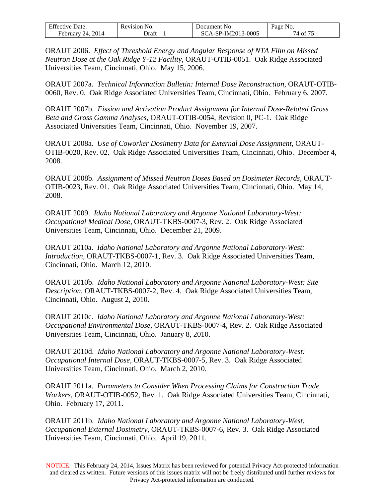| <b>Effective Date:</b>  | Revision No. | Document No.       | Page No.    |
|-------------------------|--------------|--------------------|-------------|
| 2014<br>February<br>24. | ⊃raft        | SCA-SP-IM2013-0005 | 74 of $7^5$ |

ORAUT 2006. *Effect of Threshold Energy and Angular Response of NTA Film on Missed Neutron Dose at the Oak Ridge Y-12 Facility*, ORAUT-OTIB-0051. Oak Ridge Associated Universities Team, Cincinnati, Ohio. May 15, 2006.

ORAUT 2007a. *Technical Information Bulletin: Internal Dose Reconstruction*, ORAUT-OTIB-0060, Rev. 0. Oak Ridge Associated Universities Team, Cincinnati, Ohio. February 6, 2007.

ORAUT 2007b. *Fission and Activation Product Assignment for Internal Dose-Related Gross Beta and Gross Gamma Analyses*, ORAUT-OTIB-0054, Revision 0, PC-1. Oak Ridge Associated Universities Team, Cincinnati, Ohio. November 19, 2007.

ORAUT 2008a. *Use of Coworker Dosimetry Data for External Dose Assignment*, ORAUT-OTIB-0020, Rev. 02. Oak Ridge Associated Universities Team, Cincinnati, Ohio. December 4, 2008.

ORAUT 2008b. *Assignment of Missed Neutron Doses Based on Dosimeter Records*, ORAUT-OTIB-0023, Rev. 01. Oak Ridge Associated Universities Team, Cincinnati, Ohio. May 14, 2008.

ORAUT 2009. *Idaho National Laboratory and Argonne National Laboratory-West: Occupational Medical Dose,* ORAUT-TKBS-0007-3, Rev. 2. Oak Ridge Associated Universities Team, Cincinnati, Ohio. December 21, 2009.

ORAUT 2010a. *Idaho National Laboratory and Argonne National Laboratory-West: Introduction,* ORAUT-TKBS-0007-1, Rev. 3. Oak Ridge Associated Universities Team, Cincinnati, Ohio. March 12, 2010.

ORAUT 2010b. *Idaho National Laboratory and Argonne National Laboratory-West: Site Description,* ORAUT-TKBS-0007-2, Rev. 4. Oak Ridge Associated Universities Team, Cincinnati, Ohio. August 2, 2010.

ORAUT 2010c. *Idaho National Laboratory and Argonne National Laboratory-West: Occupational Environmental Dose,* ORAUT-TKBS-0007-4, Rev. 2. Oak Ridge Associated Universities Team, Cincinnati, Ohio. January 8, 2010.

ORAUT 2010d. *Idaho National Laboratory and Argonne National Laboratory-West: Occupational Internal Dose,* ORAUT-TKBS-0007-5, Rev. 3. Oak Ridge Associated Universities Team, Cincinnati, Ohio. March 2, 2010.

ORAUT 2011a. *Parameters to Consider When Processing Claims for Construction Trade Workers*, ORAUT-OTIB-0052, Rev. 1. Oak Ridge Associated Universities Team, Cincinnati, Ohio. February 17, 2011.

ORAUT 2011b. *Idaho National Laboratory and Argonne National Laboratory-West: Occupational External Dosimetry,* ORAUT-TKBS-0007-6, Rev. 3. Oak Ridge Associated Universities Team, Cincinnati, Ohio. April 19, 2011.

NOTICE: This February 24, 2014, Issues Matrix has been reviewed for potential Privacy Act-protected information and cleared as written. Future versions of this issues matrix will not be freely distributed until further reviews for Privacy Act-protected information are conducted.